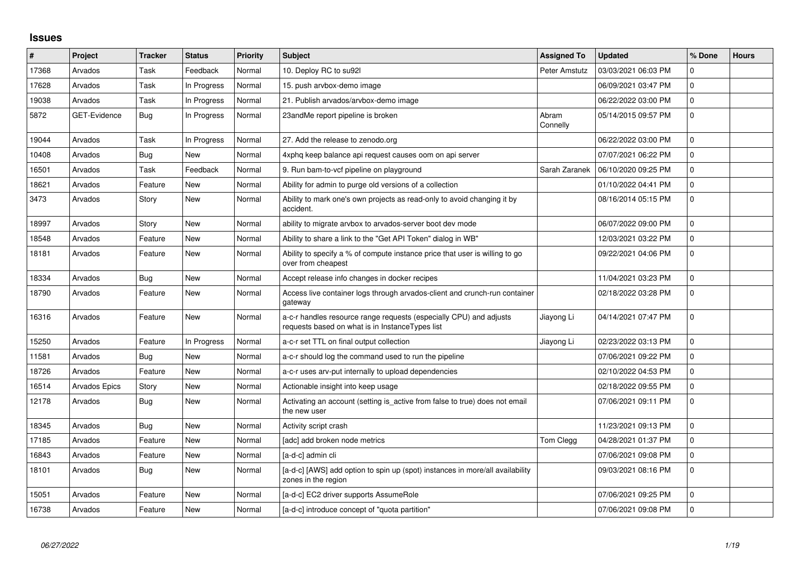## **Issues**

| #     | Project             | <b>Tracker</b> | <b>Status</b> | <b>Priority</b> | Subject                                                                                                                | <b>Assigned To</b> | <b>Updated</b>      | % Done      | <b>Hours</b> |
|-------|---------------------|----------------|---------------|-----------------|------------------------------------------------------------------------------------------------------------------------|--------------------|---------------------|-------------|--------------|
| 17368 | Arvados             | Task           | Feedback      | Normal          | 10. Deploy RC to su92l                                                                                                 | Peter Amstutz      | 03/03/2021 06:03 PM | $\Omega$    |              |
| 17628 | Arvados             | Task           | In Progress   | Normal          | 15. push arvbox-demo image                                                                                             |                    | 06/09/2021 03:47 PM | $\Omega$    |              |
| 19038 | Arvados             | Task           | In Progress   | Normal          | 21. Publish arvados/arvbox-demo image                                                                                  |                    | 06/22/2022 03:00 PM | 0           |              |
| 5872  | <b>GET-Evidence</b> | Bug            | In Progress   | Normal          | 23andMe report pipeline is broken                                                                                      | Abram<br>Connelly  | 05/14/2015 09:57 PM | 0           |              |
| 19044 | Arvados             | Task           | In Progress   | Normal          | 27. Add the release to zenodo.org                                                                                      |                    | 06/22/2022 03:00 PM | $\Omega$    |              |
| 10408 | Arvados             | Bug            | New           | Normal          | 4xphq keep balance api request causes oom on api server                                                                |                    | 07/07/2021 06:22 PM | $\Omega$    |              |
| 16501 | Arvados             | Task           | Feedback      | Normal          | 9. Run bam-to-vcf pipeline on playground                                                                               | Sarah Zaranek      | 06/10/2020 09:25 PM | $\mathbf 0$ |              |
| 18621 | Arvados             | Feature        | New           | Normal          | Ability for admin to purge old versions of a collection                                                                |                    | 01/10/2022 04:41 PM | $\mathbf 0$ |              |
| 3473  | Arvados             | Story          | <b>New</b>    | Normal          | Ability to mark one's own projects as read-only to avoid changing it by<br>accident.                                   |                    | 08/16/2014 05:15 PM | $\mathbf 0$ |              |
| 18997 | Arvados             | Story          | New           | Normal          | ability to migrate arvbox to arvados-server boot dev mode                                                              |                    | 06/07/2022 09:00 PM | $\Omega$    |              |
| 18548 | Arvados             | Feature        | <b>New</b>    | Normal          | Ability to share a link to the "Get API Token" dialog in WB"                                                           |                    | 12/03/2021 03:22 PM | $\mathbf 0$ |              |
| 18181 | Arvados             | Feature        | New           | Normal          | Ability to specify a % of compute instance price that user is willing to go<br>over from cheapest                      |                    | 09/22/2021 04:06 PM | $\mathbf 0$ |              |
| 18334 | Arvados             | Bug            | <b>New</b>    | Normal          | Accept release info changes in docker recipes                                                                          |                    | 11/04/2021 03:23 PM | $\mathbf 0$ |              |
| 18790 | Arvados             | Feature        | New           | Normal          | Access live container logs through arvados-client and crunch-run container<br>gateway                                  |                    | 02/18/2022 03:28 PM | $\mathbf 0$ |              |
| 16316 | Arvados             | Feature        | New           | Normal          | a-c-r handles resource range requests (especially CPU) and adjusts<br>requests based on what is in Instance Types list | Jiayong Li         | 04/14/2021 07:47 PM | $\Omega$    |              |
| 15250 | Arvados             | Feature        | In Progress   | Normal          | a-c-r set TTL on final output collection                                                                               | Jiayong Li         | 02/23/2022 03:13 PM | $\Omega$    |              |
| 11581 | Arvados             | Bug            | <b>New</b>    | Normal          | a-c-r should log the command used to run the pipeline                                                                  |                    | 07/06/2021 09:22 PM | 0           |              |
| 18726 | Arvados             | Feature        | <b>New</b>    | Normal          | a-c-r uses arv-put internally to upload dependencies                                                                   |                    | 02/10/2022 04:53 PM | $\mathbf 0$ |              |
| 16514 | Arvados Epics       | Story          | New           | Normal          | Actionable insight into keep usage                                                                                     |                    | 02/18/2022 09:55 PM | $\mathbf 0$ |              |
| 12178 | Arvados             | Bug            | <b>New</b>    | Normal          | Activating an account (setting is_active from false to true) does not email<br>the new user                            |                    | 07/06/2021 09:11 PM | $\mathbf 0$ |              |
| 18345 | Arvados             | Bug            | New           | Normal          | Activity script crash                                                                                                  |                    | 11/23/2021 09:13 PM | 0           |              |
| 17185 | Arvados             | Feature        | <b>New</b>    | Normal          | [adc] add broken node metrics                                                                                          | Tom Clegg          | 04/28/2021 01:37 PM | $\Omega$    |              |
| 16843 | Arvados             | Feature        | New           | Normal          | [a-d-c] admin cli                                                                                                      |                    | 07/06/2021 09:08 PM | $\mathbf 0$ |              |
| 18101 | Arvados             | Bug            | New           | Normal          | [a-d-c] [AWS] add option to spin up (spot) instances in more/all availability<br>zones in the region                   |                    | 09/03/2021 08:16 PM | $\mathbf 0$ |              |
| 15051 | Arvados             | Feature        | <b>New</b>    | Normal          | [a-d-c] EC2 driver supports AssumeRole                                                                                 |                    | 07/06/2021 09:25 PM | $\mathbf 0$ |              |
| 16738 | Arvados             | Feature        | <b>New</b>    | Normal          | [a-d-c] introduce concept of "quota partition"                                                                         |                    | 07/06/2021 09:08 PM | $\mathbf 0$ |              |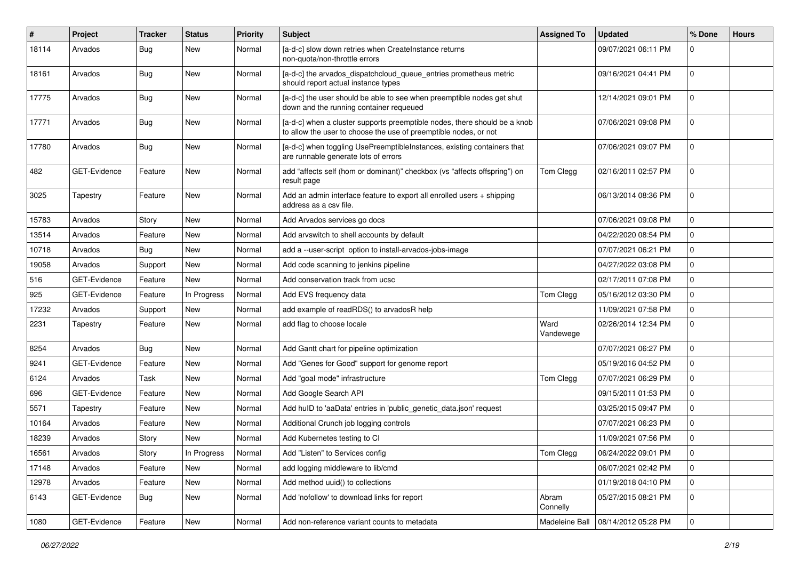| #     | Project      | <b>Tracker</b> | <b>Status</b> | <b>Priority</b> | <b>Subject</b>                                                                                                                                | <b>Assigned To</b> | <b>Updated</b>      | % Done         | <b>Hours</b> |
|-------|--------------|----------------|---------------|-----------------|-----------------------------------------------------------------------------------------------------------------------------------------------|--------------------|---------------------|----------------|--------------|
| 18114 | Arvados      | Bug            | New           | Normal          | [a-d-c] slow down retries when CreateInstance returns<br>non-quota/non-throttle errors                                                        |                    | 09/07/2021 06:11 PM | $\Omega$       |              |
| 18161 | Arvados      | Bug            | New           | Normal          | [a-d-c] the arvados_dispatchcloud_queue_entries prometheus metric<br>should report actual instance types                                      |                    | 09/16/2021 04:41 PM | $\mathbf 0$    |              |
| 17775 | Arvados      | Bug            | <b>New</b>    | Normal          | [a-d-c] the user should be able to see when preemptible nodes get shut<br>down and the running container requeued                             |                    | 12/14/2021 09:01 PM | $\mathbf 0$    |              |
| 17771 | Arvados      | Bug            | New           | Normal          | [a-d-c] when a cluster supports preemptible nodes, there should be a knob<br>to allow the user to choose the use of preemptible nodes, or not |                    | 07/06/2021 09:08 PM | $\mathbf 0$    |              |
| 17780 | Arvados      | Bug            | New           | Normal          | [a-d-c] when toggling UsePreemptibleInstances, existing containers that<br>are runnable generate lots of errors                               |                    | 07/06/2021 09:07 PM | $\Omega$       |              |
| 482   | GET-Evidence | Feature        | <b>New</b>    | Normal          | add "affects self (hom or dominant)" checkbox (vs "affects offspring") on<br>result page                                                      | Tom Clegg          | 02/16/2011 02:57 PM | $\mathbf 0$    |              |
| 3025  | Tapestry     | Feature        | New           | Normal          | Add an admin interface feature to export all enrolled users $+$ shipping<br>address as a csy file.                                            |                    | 06/13/2014 08:36 PM | $\mathbf 0$    |              |
| 15783 | Arvados      | Story          | <b>New</b>    | Normal          | Add Arvados services go docs                                                                                                                  |                    | 07/06/2021 09:08 PM | $\mathbf 0$    |              |
| 13514 | Arvados      | Feature        | <b>New</b>    | Normal          | Add arvswitch to shell accounts by default                                                                                                    |                    | 04/22/2020 08:54 PM | $\mathbf 0$    |              |
| 10718 | Arvados      | <b>Bug</b>     | New           | Normal          | add a --user-script option to install-arvados-jobs-image                                                                                      |                    | 07/07/2021 06:21 PM | $\mathbf 0$    |              |
| 19058 | Arvados      | Support        | New           | Normal          | Add code scanning to jenkins pipeline                                                                                                         |                    | 04/27/2022 03:08 PM | $\mathbf 0$    |              |
| 516   | GET-Evidence | Feature        | New           | Normal          | Add conservation track from ucsc                                                                                                              |                    | 02/17/2011 07:08 PM | $\mathbf 0$    |              |
| 925   | GET-Evidence | Feature        | In Progress   | Normal          | Add EVS frequency data                                                                                                                        | Tom Clegg          | 05/16/2012 03:30 PM | $\mathbf 0$    |              |
| 17232 | Arvados      | Support        | New           | Normal          | add example of readRDS() to arvadosR help                                                                                                     |                    | 11/09/2021 07:58 PM | $\mathbf 0$    |              |
| 2231  | Tapestry     | Feature        | New           | Normal          | add flag to choose locale                                                                                                                     | Ward<br>Vandewege  | 02/26/2014 12:34 PM | $\mathbf 0$    |              |
| 8254  | Arvados      | Bug            | New           | Normal          | Add Gantt chart for pipeline optimization                                                                                                     |                    | 07/07/2021 06:27 PM | 0              |              |
| 9241  | GET-Evidence | Feature        | <b>New</b>    | Normal          | Add "Genes for Good" support for genome report                                                                                                |                    | 05/19/2016 04:52 PM | $\mathbf 0$    |              |
| 6124  | Arvados      | Task           | New           | Normal          | Add "goal mode" infrastructure                                                                                                                | Tom Clegg          | 07/07/2021 06:29 PM | $\mathbf 0$    |              |
| 696   | GET-Evidence | Feature        | New           | Normal          | Add Google Search API                                                                                                                         |                    | 09/15/2011 01:53 PM | $\mathbf 0$    |              |
| 5571  | Tapestry     | Feature        | <b>New</b>    | Normal          | Add hulD to 'aaData' entries in 'public_genetic_data.json' request                                                                            |                    | 03/25/2015 09:47 PM | $\mathbf 0$    |              |
| 10164 | Arvados      | Feature        | New           | Normal          | Additional Crunch job logging controls                                                                                                        |                    | 07/07/2021 06:23 PM | $\mathbf 0$    |              |
| 18239 | Arvados      | Story          | New           | Normal          | Add Kubernetes testing to CI                                                                                                                  |                    | 11/09/2021 07:56 PM | $\mathbf 0$    |              |
| 16561 | Arvados      | Story          | In Progress   | Normal          | Add "Listen" to Services config                                                                                                               | Tom Clegg          | 06/24/2022 09:01 PM | $\pmb{0}$      |              |
| 17148 | Arvados      | Feature        | New           | Normal          | add logging middleware to lib/cmd                                                                                                             |                    | 06/07/2021 02:42 PM | $\overline{0}$ |              |
| 12978 | Arvados      | Feature        | New           | Normal          | Add method uuid() to collections                                                                                                              |                    | 01/19/2018 04:10 PM | $\mathbf 0$    |              |
| 6143  | GET-Evidence | Bug            | New           | Normal          | Add 'nofollow' to download links for report                                                                                                   | Abram<br>Connelly  | 05/27/2015 08:21 PM | $\overline{0}$ |              |
| 1080  | GET-Evidence | Feature        | New           | Normal          | Add non-reference variant counts to metadata                                                                                                  | Madeleine Ball     | 08/14/2012 05:28 PM | 0              |              |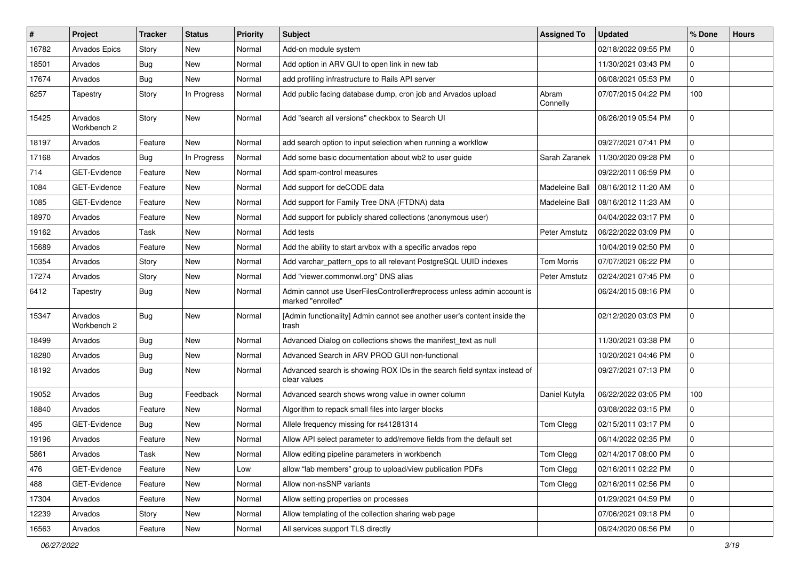| #     | Project                | <b>Tracker</b> | <b>Status</b> | <b>Priority</b> | <b>Subject</b>                                                                              | <b>Assigned To</b> | <b>Updated</b>      | % Done       | <b>Hours</b> |
|-------|------------------------|----------------|---------------|-----------------|---------------------------------------------------------------------------------------------|--------------------|---------------------|--------------|--------------|
| 16782 | Arvados Epics          | Story          | <b>New</b>    | Normal          | Add-on module system                                                                        |                    | 02/18/2022 09:55 PM | $\Omega$     |              |
| 18501 | Arvados                | <b>Bug</b>     | <b>New</b>    | Normal          | Add option in ARV GUI to open link in new tab                                               |                    | 11/30/2021 03:43 PM | $\mathbf 0$  |              |
| 17674 | Arvados                | Bug            | New           | Normal          | add profiling infrastructure to Rails API server                                            |                    | 06/08/2021 05:53 PM | $\mathbf 0$  |              |
| 6257  | Tapestry               | Story          | In Progress   | Normal          | Add public facing database dump, cron job and Arvados upload                                | Abram<br>Connelly  | 07/07/2015 04:22 PM | 100          |              |
| 15425 | Arvados<br>Workbench 2 | Story          | New           | Normal          | Add "search all versions" checkbox to Search UI                                             |                    | 06/26/2019 05:54 PM | $\mathbf{0}$ |              |
| 18197 | Arvados                | Feature        | New           | Normal          | add search option to input selection when running a workflow                                |                    | 09/27/2021 07:41 PM | 0            |              |
| 17168 | Arvados                | <b>Bug</b>     | In Progress   | Normal          | Add some basic documentation about wb2 to user guide                                        | Sarah Zaranek      | 11/30/2020 09:28 PM | $\mathbf 0$  |              |
| 714   | GET-Evidence           | Feature        | <b>New</b>    | Normal          | Add spam-control measures                                                                   |                    | 09/22/2011 06:59 PM | 0            |              |
| 1084  | GET-Evidence           | Feature        | New           | Normal          | Add support for deCODE data                                                                 | Madeleine Ball     | 08/16/2012 11:20 AM | 0            |              |
| 1085  | GET-Evidence           | Feature        | New           | Normal          | Add support for Family Tree DNA (FTDNA) data                                                | Madeleine Ball     | 08/16/2012 11:23 AM | $\mathbf 0$  |              |
| 18970 | Arvados                | Feature        | <b>New</b>    | Normal          | Add support for publicly shared collections (anonymous user)                                |                    | 04/04/2022 03:17 PM | $\mathbf 0$  |              |
| 19162 | Arvados                | Task           | New           | Normal          | Add tests                                                                                   | Peter Amstutz      | 06/22/2022 03:09 PM | $\mathbf 0$  |              |
| 15689 | Arvados                | Feature        | <b>New</b>    | Normal          | Add the ability to start arvbox with a specific arvados repo                                |                    | 10/04/2019 02:50 PM | $\mathbf 0$  |              |
| 10354 | Arvados                | Story          | New           | Normal          | Add varchar_pattern_ops to all relevant PostgreSQL UUID indexes                             | Tom Morris         | 07/07/2021 06:22 PM | 0            |              |
| 17274 | Arvados                | Story          | New           | Normal          | Add "viewer.commonwl.org" DNS alias                                                         | Peter Amstutz      | 02/24/2021 07:45 PM | $\mathbf 0$  |              |
| 6412  | Tapestry               | Bug            | <b>New</b>    | Normal          | Admin cannot use UserFilesController#reprocess unless admin account is<br>marked "enrolled" |                    | 06/24/2015 08:16 PM | $\mathbf 0$  |              |
| 15347 | Arvados<br>Workbench 2 | <b>Bug</b>     | New           | Normal          | [Admin functionality] Admin cannot see another user's content inside the<br>trash           |                    | 02/12/2020 03:03 PM | $\Omega$     |              |
| 18499 | Arvados                | <b>Bug</b>     | New           | Normal          | Advanced Dialog on collections shows the manifest_text as null                              |                    | 11/30/2021 03:38 PM | $\mathbf 0$  |              |
| 18280 | Arvados                | Bug            | <b>New</b>    | Normal          | Advanced Search in ARV PROD GUI non-functional                                              |                    | 10/20/2021 04:46 PM | $\mathbf 0$  |              |
| 18192 | Arvados                | Bug            | New           | Normal          | Advanced search is showing ROX IDs in the search field syntax instead of<br>clear values    |                    | 09/27/2021 07:13 PM | 0            |              |
| 19052 | Arvados                | Bug            | Feedback      | Normal          | Advanced search shows wrong value in owner column                                           | Daniel Kutyła      | 06/22/2022 03:05 PM | 100          |              |
| 18840 | Arvados                | Feature        | <b>New</b>    | Normal          | Algorithm to repack small files into larger blocks                                          |                    | 03/08/2022 03:15 PM | $\mathbf 0$  |              |
| 495   | GET-Evidence           | Bug            | New           | Normal          | Allele frequency missing for rs41281314                                                     | Tom Clegg          | 02/15/2011 03:17 PM | $\mathbf{0}$ |              |
| 19196 | Arvados                | Feature        | <b>New</b>    | Normal          | Allow API select parameter to add/remove fields from the default set                        |                    | 06/14/2022 02:35 PM | 0            |              |
| 5861  | Arvados                | Task           | <b>New</b>    | Normal          | Allow editing pipeline parameters in workbench                                              | Tom Clegg          | 02/14/2017 08:00 PM | $\pmb{0}$    |              |
| 476   | GET-Evidence           | Feature        | <b>New</b>    | Low             | allow "lab members" group to upload/view publication PDFs                                   | Tom Clegg          | 02/16/2011 02:22 PM | $\pmb{0}$    |              |
| 488   | GET-Evidence           | Feature        | New           | Normal          | Allow non-nsSNP variants                                                                    | Tom Clegg          | 02/16/2011 02:56 PM | 0            |              |
| 17304 | Arvados                | Feature        | New           | Normal          | Allow setting properties on processes                                                       |                    | 01/29/2021 04:59 PM | $\mathbf 0$  |              |
| 12239 | Arvados                | Story          | New           | Normal          | Allow templating of the collection sharing web page                                         |                    | 07/06/2021 09:18 PM | $\mathbf 0$  |              |
| 16563 | Arvados                | Feature        | New           | Normal          | All services support TLS directly                                                           |                    | 06/24/2020 06:56 PM | 0            |              |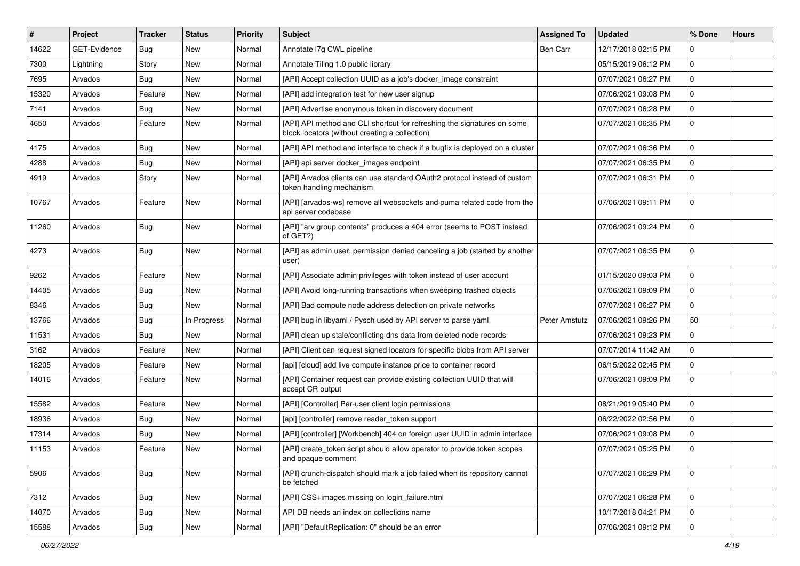| #     | Project      | <b>Tracker</b> | <b>Status</b> | <b>Priority</b> | <b>Subject</b>                                                                                                            | <b>Assigned To</b> | <b>Updated</b>      | % Done      | <b>Hours</b> |
|-------|--------------|----------------|---------------|-----------------|---------------------------------------------------------------------------------------------------------------------------|--------------------|---------------------|-------------|--------------|
| 14622 | GET-Evidence | Bug            | New           | Normal          | Annotate I7g CWL pipeline                                                                                                 | Ben Carr           | 12/17/2018 02:15 PM | $\Omega$    |              |
| 7300  | Lightning    | Story          | New           | Normal          | Annotate Tiling 1.0 public library                                                                                        |                    | 05/15/2019 06:12 PM | $\mathbf 0$ |              |
| 7695  | Arvados      | <b>Bug</b>     | New           | Normal          | [API] Accept collection UUID as a job's docker_image constraint                                                           |                    | 07/07/2021 06:27 PM | $\mathbf 0$ |              |
| 15320 | Arvados      | Feature        | New           | Normal          | [API] add integration test for new user signup                                                                            |                    | 07/06/2021 09:08 PM | $\mathbf 0$ |              |
| 7141  | Arvados      | Bug            | New           | Normal          | [API] Advertise anonymous token in discovery document                                                                     |                    | 07/07/2021 06:28 PM | $\mathbf 0$ |              |
| 4650  | Arvados      | Feature        | New           | Normal          | [API] API method and CLI shortcut for refreshing the signatures on some<br>block locators (without creating a collection) |                    | 07/07/2021 06:35 PM | $\mathbf 0$ |              |
| 4175  | Arvados      | Bug            | New           | Normal          | [API] API method and interface to check if a bugfix is deployed on a cluster                                              |                    | 07/07/2021 06:36 PM | $\mathbf 0$ |              |
| 4288  | Arvados      | <b>Bug</b>     | New           | Normal          | [API] api server docker_images endpoint                                                                                   |                    | 07/07/2021 06:35 PM | $\mathbf 0$ |              |
| 4919  | Arvados      | Story          | New           | Normal          | [API] Arvados clients can use standard OAuth2 protocol instead of custom<br>token handling mechanism                      |                    | 07/07/2021 06:31 PM | $\mathbf 0$ |              |
| 10767 | Arvados      | Feature        | New           | Normal          | [API] [arvados-ws] remove all websockets and puma related code from the<br>api server codebase                            |                    | 07/06/2021 09:11 PM | $\mathbf 0$ |              |
| 11260 | Arvados      | Bug            | New           | Normal          | [API] "arv group contents" produces a 404 error (seems to POST instead<br>of GET?)                                        |                    | 07/06/2021 09:24 PM | $\mathbf 0$ |              |
| 4273  | Arvados      | Bug            | New           | Normal          | [API] as admin user, permission denied canceling a job (started by another<br>user)                                       |                    | 07/07/2021 06:35 PM | $\mathbf 0$ |              |
| 9262  | Arvados      | Feature        | New           | Normal          | [API] Associate admin privileges with token instead of user account                                                       |                    | 01/15/2020 09:03 PM | $\mathbf 0$ |              |
| 14405 | Arvados      | Bug            | New           | Normal          | [API] Avoid long-running transactions when sweeping trashed objects                                                       |                    | 07/06/2021 09:09 PM | $\mathbf 0$ |              |
| 8346  | Arvados      | Bug            | New           | Normal          | [API] Bad compute node address detection on private networks                                                              |                    | 07/07/2021 06:27 PM | $\mathbf 0$ |              |
| 13766 | Arvados      | Bug            | In Progress   | Normal          | [API] bug in libyaml / Pysch used by API server to parse yaml                                                             | Peter Amstutz      | 07/06/2021 09:26 PM | 50          |              |
| 11531 | Arvados      | <b>Bug</b>     | New           | Normal          | [API] clean up stale/conflicting dns data from deleted node records                                                       |                    | 07/06/2021 09:23 PM | $\mathbf 0$ |              |
| 3162  | Arvados      | Feature        | New           | Normal          | [API] Client can request signed locators for specific blobs from API server                                               |                    | 07/07/2014 11:42 AM | $\mathbf 0$ |              |
| 18205 | Arvados      | Feature        | New           | Normal          | [api] [cloud] add live compute instance price to container record                                                         |                    | 06/15/2022 02:45 PM | 0           |              |
| 14016 | Arvados      | Feature        | New           | Normal          | [API] Container request can provide existing collection UUID that will<br>accept CR output                                |                    | 07/06/2021 09:09 PM | $\Omega$    |              |
| 15582 | Arvados      | Feature        | New           | Normal          | [API] [Controller] Per-user client login permissions                                                                      |                    | 08/21/2019 05:40 PM | $\mathbf 0$ |              |
| 18936 | Arvados      | Bug            | New           | Normal          | [api] [controller] remove reader_token support                                                                            |                    | 06/22/2022 02:56 PM | $\mathbf 0$ |              |
| 17314 | Arvados      | Bug            | <b>New</b>    | Normal          | [API] [controller] [Workbench] 404 on foreign user UUID in admin interface                                                |                    | 07/06/2021 09:08 PM | $\mathbf 0$ |              |
| 11153 | Arvados      | Feature        | New           | Normal          | [API] create token script should allow operator to provide token scopes<br>and opaque comment                             |                    | 07/07/2021 05:25 PM | $\mathbf 0$ |              |
| 5906  | Arvados      | Bug            | New           | Normal          | [API] crunch-dispatch should mark a job failed when its repository cannot<br>be fetched                                   |                    | 07/07/2021 06:29 PM | $\mathbf 0$ |              |
| 7312  | Arvados      | Bug            | New           | Normal          | [API] CSS+images missing on login_failure.html                                                                            |                    | 07/07/2021 06:28 PM | $\mathbf 0$ |              |
| 14070 | Arvados      | Bug            | New           | Normal          | API DB needs an index on collections name                                                                                 |                    | 10/17/2018 04:21 PM | $\mathbf 0$ |              |
| 15588 | Arvados      | Bug            | New           | Normal          | [API] "DefaultReplication: 0" should be an error                                                                          |                    | 07/06/2021 09:12 PM | $\mathbf 0$ |              |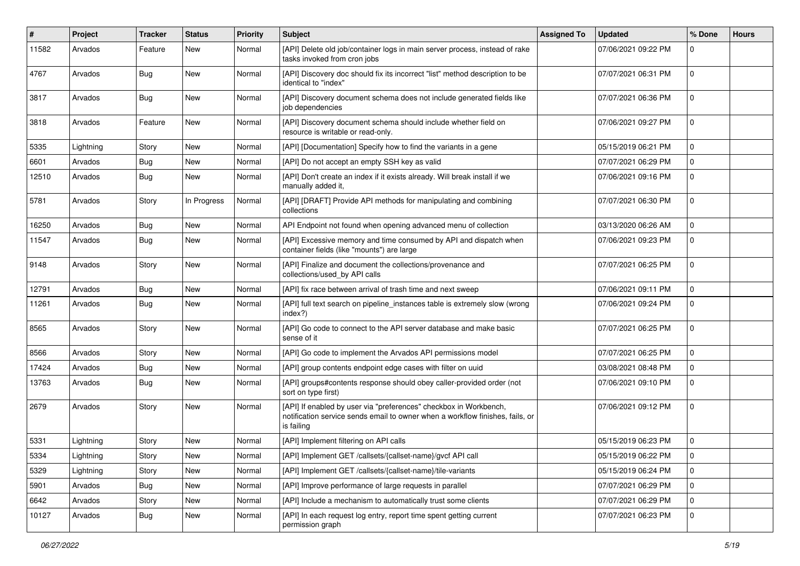| #     | Project   | <b>Tracker</b> | <b>Status</b> | <b>Priority</b> | <b>Subject</b>                                                                                                                                                   | <b>Assigned To</b> | <b>Updated</b>      | % Done      | <b>Hours</b> |
|-------|-----------|----------------|---------------|-----------------|------------------------------------------------------------------------------------------------------------------------------------------------------------------|--------------------|---------------------|-------------|--------------|
| 11582 | Arvados   | Feature        | New           | Normal          | [API] Delete old job/container logs in main server process, instead of rake<br>tasks invoked from cron jobs                                                      |                    | 07/06/2021 09:22 PM | $\Omega$    |              |
| 4767  | Arvados   | Bug            | New           | Normal          | [API] Discovery doc should fix its incorrect "list" method description to be<br>identical to "index"                                                             |                    | 07/07/2021 06:31 PM | $\mathbf 0$ |              |
| 3817  | Arvados   | Bug            | <b>New</b>    | Normal          | [API] Discovery document schema does not include generated fields like<br>job dependencies                                                                       |                    | 07/07/2021 06:36 PM | $\mathbf 0$ |              |
| 3818  | Arvados   | Feature        | New           | Normal          | [API] Discovery document schema should include whether field on<br>resource is writable or read-only.                                                            |                    | 07/06/2021 09:27 PM | $\Omega$    |              |
| 5335  | Lightning | Story          | New           | Normal          | [API] [Documentation] Specify how to find the variants in a gene                                                                                                 |                    | 05/15/2019 06:21 PM | $\Omega$    |              |
| 6601  | Arvados   | Bug            | New           | Normal          | [API] Do not accept an empty SSH key as valid                                                                                                                    |                    | 07/07/2021 06:29 PM | $\mathbf 0$ |              |
| 12510 | Arvados   | Bug            | New           | Normal          | [API] Don't create an index if it exists already. Will break install if we<br>manually added it,                                                                 |                    | 07/06/2021 09:16 PM | 0           |              |
| 5781  | Arvados   | Story          | In Progress   | Normal          | [API] [DRAFT] Provide API methods for manipulating and combining<br>collections                                                                                  |                    | 07/07/2021 06:30 PM | $\mathbf 0$ |              |
| 16250 | Arvados   | <b>Bug</b>     | <b>New</b>    | Normal          | API Endpoint not found when opening advanced menu of collection                                                                                                  |                    | 03/13/2020 06:26 AM | $\mathbf 0$ |              |
| 11547 | Arvados   | Bug            | New           | Normal          | [API] Excessive memory and time consumed by API and dispatch when<br>container fields (like "mounts") are large                                                  |                    | 07/06/2021 09:23 PM | $\mathbf 0$ |              |
| 9148  | Arvados   | Story          | <b>New</b>    | Normal          | [API] Finalize and document the collections/provenance and<br>collections/used_by API calls                                                                      |                    | 07/07/2021 06:25 PM | $\Omega$    |              |
| 12791 | Arvados   | Bug            | New           | Normal          | [API] fix race between arrival of trash time and next sweep                                                                                                      |                    | 07/06/2021 09:11 PM | $\Omega$    |              |
| 11261 | Arvados   | Bug            | New           | Normal          | [API] full text search on pipeline_instances table is extremely slow (wrong<br>index?)                                                                           |                    | 07/06/2021 09:24 PM | $\mathbf 0$ |              |
| 8565  | Arvados   | Story          | New           | Normal          | [API] Go code to connect to the API server database and make basic<br>sense of it                                                                                |                    | 07/07/2021 06:25 PM | $\Omega$    |              |
| 8566  | Arvados   | Story          | New           | Normal          | [API] Go code to implement the Arvados API permissions model                                                                                                     |                    | 07/07/2021 06:25 PM | $\Omega$    |              |
| 17424 | Arvados   | Bug            | New           | Normal          | [API] group contents endpoint edge cases with filter on uuid                                                                                                     |                    | 03/08/2021 08:48 PM | $\mathbf 0$ |              |
| 13763 | Arvados   | Bug            | New           | Normal          | [API] groups#contents response should obey caller-provided order (not<br>sort on type first)                                                                     |                    | 07/06/2021 09:10 PM | $\mathbf 0$ |              |
| 2679  | Arvados   | Story          | New           | Normal          | [API] If enabled by user via "preferences" checkbox in Workbench,<br>notification service sends email to owner when a workflow finishes, fails, or<br>is failing |                    | 07/06/2021 09:12 PM | $\Omega$    |              |
| 5331  | Lightning | Story          | <b>New</b>    | Normal          | [API] Implement filtering on API calls                                                                                                                           |                    | 05/15/2019 06:23 PM | $\mathbf 0$ |              |
| 5334  | Lightning | Story          | New           | Normal          | [API] Implement GET /callsets/{callset-name}/gvcf API call                                                                                                       |                    | 05/15/2019 06:22 PM | 0           |              |
| 5329  | Lightning | Story          | New           | Normal          | [API] Implement GET /callsets/{callset-name}/tile-variants                                                                                                       |                    | 05/15/2019 06:24 PM | 0           |              |
| 5901  | Arvados   | Bug            | New           | Normal          | [API] Improve performance of large requests in parallel                                                                                                          |                    | 07/07/2021 06:29 PM | $\mathbf 0$ |              |
| 6642  | Arvados   | Story          | New           | Normal          | [API] Include a mechanism to automatically trust some clients                                                                                                    |                    | 07/07/2021 06:29 PM | $\mathbf 0$ |              |
| 10127 | Arvados   | <b>Bug</b>     | New           | Normal          | [API] In each request log entry, report time spent getting current<br>permission graph                                                                           |                    | 07/07/2021 06:23 PM | $\mathbf 0$ |              |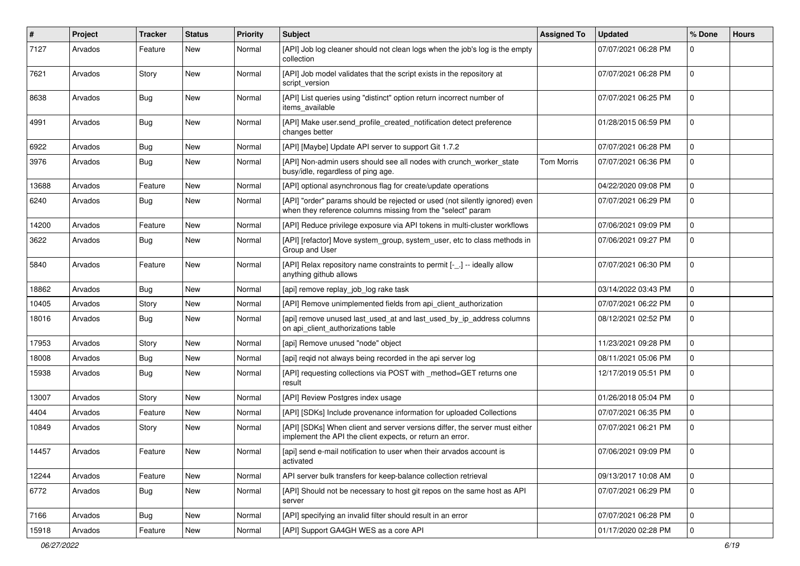| #     | Project | <b>Tracker</b> | <b>Status</b> | <b>Priority</b> | <b>Subject</b>                                                                                                                             | <b>Assigned To</b> | <b>Updated</b>      | % Done      | <b>Hours</b> |
|-------|---------|----------------|---------------|-----------------|--------------------------------------------------------------------------------------------------------------------------------------------|--------------------|---------------------|-------------|--------------|
| 7127  | Arvados | Feature        | New           | Normal          | [API] Job log cleaner should not clean logs when the job's log is the empty<br>collection                                                  |                    | 07/07/2021 06:28 PM | $\Omega$    |              |
| 7621  | Arvados | Story          | New           | Normal          | [API] Job model validates that the script exists in the repository at<br>script_version                                                    |                    | 07/07/2021 06:28 PM | $\Omega$    |              |
| 8638  | Arvados | Bug            | New           | Normal          | [API] List queries using "distinct" option return incorrect number of<br>items_available                                                   |                    | 07/07/2021 06:25 PM | $\mathbf 0$ |              |
| 4991  | Arvados | Bug            | New           | Normal          | [API] Make user.send_profile_created_notification detect preference<br>changes better                                                      |                    | 01/28/2015 06:59 PM | $\Omega$    |              |
| 6922  | Arvados | Bug            | New           | Normal          | [API] [Maybe] Update API server to support Git 1.7.2                                                                                       |                    | 07/07/2021 06:28 PM | $\Omega$    |              |
| 3976  | Arvados | Bug            | New           | Normal          | [API] Non-admin users should see all nodes with crunch worker state<br>busy/idle, regardless of ping age.                                  | <b>Tom Morris</b>  | 07/07/2021 06:36 PM | $\Omega$    |              |
| 13688 | Arvados | Feature        | New           | Normal          | [API] optional asynchronous flag for create/update operations                                                                              |                    | 04/22/2020 09:08 PM | $\Omega$    |              |
| 6240  | Arvados | <b>Bug</b>     | New           | Normal          | [API] "order" params should be rejected or used (not silently ignored) even<br>when they reference columns missing from the "select" param |                    | 07/07/2021 06:29 PM | $\mathbf 0$ |              |
| 14200 | Arvados | Feature        | <b>New</b>    | Normal          | [API] Reduce privilege exposure via API tokens in multi-cluster workflows                                                                  |                    | 07/06/2021 09:09 PM | $\mathbf 0$ |              |
| 3622  | Arvados | Bug            | New           | Normal          | [API] [refactor] Move system_group, system_user, etc to class methods in<br>Group and User                                                 |                    | 07/06/2021 09:27 PM | $\mathbf 0$ |              |
| 5840  | Arvados | Feature        | <b>New</b>    | Normal          | [API] Relax repository name constraints to permit [-_.] -- ideally allow<br>anything github allows                                         |                    | 07/07/2021 06:30 PM | $\Omega$    |              |
| 18862 | Arvados | Bug            | New           | Normal          | [api] remove replay_job_log rake task                                                                                                      |                    | 03/14/2022 03:43 PM | $\Omega$    |              |
| 10405 | Arvados | Story          | New           | Normal          | [API] Remove unimplemented fields from api_client_authorization                                                                            |                    | 07/07/2021 06:22 PM | $\mathbf 0$ |              |
| 18016 | Arvados | Bug            | New           | Normal          | [api] remove unused last_used_at and last_used_by_ip_address columns<br>on api_client_authorizations table                                 |                    | 08/12/2021 02:52 PM | $\mathbf 0$ |              |
| 17953 | Arvados | Story          | <b>New</b>    | Normal          | [api] Remove unused "node" object                                                                                                          |                    | 11/23/2021 09:28 PM | $\mathbf 0$ |              |
| 18008 | Arvados | Bug            | New           | Normal          | [api] reqid not always being recorded in the api server log                                                                                |                    | 08/11/2021 05:06 PM | $\Omega$    |              |
| 15938 | Arvados | Bug            | New           | Normal          | [API] requesting collections via POST with _method=GET returns one<br>result                                                               |                    | 12/17/2019 05:51 PM | $\Omega$    |              |
| 13007 | Arvados | Story          | New           | Normal          | [API] Review Postgres index usage                                                                                                          |                    | 01/26/2018 05:04 PM | $\Omega$    |              |
| 4404  | Arvados | Feature        | New           | Normal          | [API] [SDKs] Include provenance information for uploaded Collections                                                                       |                    | 07/07/2021 06:35 PM | $\mathbf 0$ |              |
| 10849 | Arvados | Story          | New           | Normal          | [API] [SDKs] When client and server versions differ, the server must either<br>implement the API the client expects, or return an error.   |                    | 07/07/2021 06:21 PM | $\mathbf 0$ |              |
| 14457 | Arvados | Feature        | New           | Normal          | [api] send e-mail notification to user when their arvados account is<br>activated                                                          |                    | 07/06/2021 09:09 PM | $\Omega$    |              |
| 12244 | Arvados | Feature        | New           | Normal          | API server bulk transfers for keep-balance collection retrieval                                                                            |                    | 09/13/2017 10:08 AM | 0           |              |
| 6772  | Arvados | <b>Bug</b>     | New           | Normal          | [API] Should not be necessary to host git repos on the same host as API<br>server                                                          |                    | 07/07/2021 06:29 PM | $\mathbf 0$ |              |
| 7166  | Arvados | <b>Bug</b>     | <b>New</b>    | Normal          | [API] specifying an invalid filter should result in an error                                                                               |                    | 07/07/2021 06:28 PM | 0           |              |
| 15918 | Arvados | Feature        | New           | Normal          | [API] Support GA4GH WES as a core API                                                                                                      |                    | 01/17/2020 02:28 PM | 0           |              |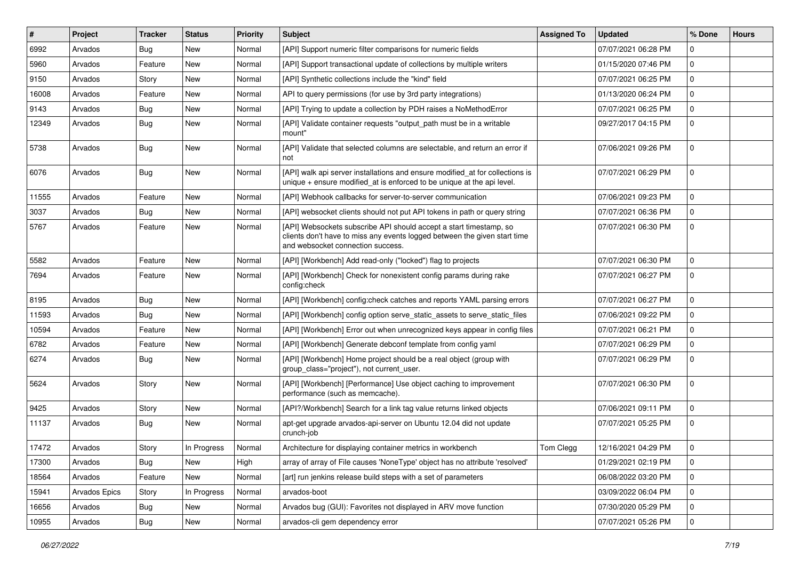| $\#$  | Project       | <b>Tracker</b> | <b>Status</b> | <b>Priority</b> | <b>Subject</b>                                                                                                                                                                       | <b>Assigned To</b> | <b>Updated</b>      | % Done      | <b>Hours</b> |
|-------|---------------|----------------|---------------|-----------------|--------------------------------------------------------------------------------------------------------------------------------------------------------------------------------------|--------------------|---------------------|-------------|--------------|
| 6992  | Arvados       | Bug            | New           | Normal          | [API] Support numeric filter comparisons for numeric fields                                                                                                                          |                    | 07/07/2021 06:28 PM | $\Omega$    |              |
| 5960  | Arvados       | Feature        | <b>New</b>    | Normal          | [API] Support transactional update of collections by multiple writers                                                                                                                |                    | 01/15/2020 07:46 PM | $\mathbf 0$ |              |
| 9150  | Arvados       | Story          | New           | Normal          | [API] Synthetic collections include the "kind" field                                                                                                                                 |                    | 07/07/2021 06:25 PM | $\mathbf 0$ |              |
| 16008 | Arvados       | Feature        | New           | Normal          | API to query permissions (for use by 3rd party integrations)                                                                                                                         |                    | 01/13/2020 06:24 PM | $\mathbf 0$ |              |
| 9143  | Arvados       | <b>Bug</b>     | New           | Normal          | [API] Trying to update a collection by PDH raises a NoMethodError                                                                                                                    |                    | 07/07/2021 06:25 PM | $\mathbf 0$ |              |
| 12349 | Arvados       | <b>Bug</b>     | New           | Normal          | [API] Validate container requests "output path must be in a writable<br>mount"                                                                                                       |                    | 09/27/2017 04:15 PM | $\mathbf 0$ |              |
| 5738  | Arvados       | Bug            | New           | Normal          | [API] Validate that selected columns are selectable, and return an error if<br>not                                                                                                   |                    | 07/06/2021 09:26 PM | $\mathbf 0$ |              |
| 6076  | Arvados       | Bug            | New           | Normal          | [API] walk api server installations and ensure modified_at for collections is<br>unique + ensure modified_at is enforced to be unique at the api level.                              |                    | 07/07/2021 06:29 PM | $\mathbf 0$ |              |
| 11555 | Arvados       | Feature        | New           | Normal          | [API] Webhook callbacks for server-to-server communication                                                                                                                           |                    | 07/06/2021 09:23 PM | $\mathbf 0$ |              |
| 3037  | Arvados       | Bug            | New           | Normal          | [API] websocket clients should not put API tokens in path or query string                                                                                                            |                    | 07/07/2021 06:36 PM | $\mathbf 0$ |              |
| 5767  | Arvados       | Feature        | New           | Normal          | [API] Websockets subscribe API should accept a start timestamp, so<br>clients don't have to miss any events logged between the given start time<br>and websocket connection success. |                    | 07/07/2021 06:30 PM | $\mathbf 0$ |              |
| 5582  | Arvados       | Feature        | New           | Normal          | [API] [Workbench] Add read-only ("locked") flag to projects                                                                                                                          |                    | 07/07/2021 06:30 PM | $\Omega$    |              |
| 7694  | Arvados       | Feature        | New           | Normal          | [API] [Workbench] Check for nonexistent config params during rake<br>config:check                                                                                                    |                    | 07/07/2021 06:27 PM | $\mathbf 0$ |              |
| 8195  | Arvados       | <b>Bug</b>     | New           | Normal          | [API] [Workbench] config: check catches and reports YAML parsing errors                                                                                                              |                    | 07/07/2021 06:27 PM | $\Omega$    |              |
| 11593 | Arvados       | Bug            | New           | Normal          | [API] [Workbench] config option serve_static_assets to serve_static_files                                                                                                            |                    | 07/06/2021 09:22 PM | $\mathbf 0$ |              |
| 10594 | Arvados       | Feature        | New           | Normal          | [API] [Workbench] Error out when unrecognized keys appear in config files                                                                                                            |                    | 07/07/2021 06:21 PM | $\mathbf 0$ |              |
| 6782  | Arvados       | Feature        | New           | Normal          | [API] [Workbench] Generate debconf template from config yaml                                                                                                                         |                    | 07/07/2021 06:29 PM | $\mathbf 0$ |              |
| 6274  | Arvados       | Bug            | New           | Normal          | [API] [Workbench] Home project should be a real object (group with<br>group class="project"), not current user.                                                                      |                    | 07/07/2021 06:29 PM | $\mathbf 0$ |              |
| 5624  | Arvados       | Story          | New           | Normal          | [API] [Workbench] [Performance] Use object caching to improvement<br>performance (such as memcache).                                                                                 |                    | 07/07/2021 06:30 PM | $\Omega$    |              |
| 9425  | Arvados       | Story          | New           | Normal          | [API?/Workbench] Search for a link tag value returns linked objects                                                                                                                  |                    | 07/06/2021 09:11 PM | $\Omega$    |              |
| 11137 | Arvados       | Bug            | New           | Normal          | apt-get upgrade arvados-api-server on Ubuntu 12.04 did not update<br>crunch-job                                                                                                      |                    | 07/07/2021 05:25 PM | $\mathbf 0$ |              |
| 17472 | Arvados       | Story          | In Progress   | Normal          | Architecture for displaying container metrics in workbench                                                                                                                           | Tom Clegg          | 12/16/2021 04:29 PM | $\mathbf 0$ |              |
| 17300 | Arvados       | Bug            | New           | High            | array of array of File causes 'NoneType' object has no attribute 'resolved'                                                                                                          |                    | 01/29/2021 02:19 PM | $\mathbf 0$ |              |
| 18564 | Arvados       | Feature        | New           | Normal          | [art] run jenkins release build steps with a set of parameters                                                                                                                       |                    | 06/08/2022 03:20 PM | 0           |              |
| 15941 | Arvados Epics | Story          | In Progress   | Normal          | arvados-boot                                                                                                                                                                         |                    | 03/09/2022 06:04 PM | $\pmb{0}$   |              |
| 16656 | Arvados       | <b>Bug</b>     | New           | Normal          | Arvados bug (GUI): Favorites not displayed in ARV move function                                                                                                                      |                    | 07/30/2020 05:29 PM | 0           |              |
| 10955 | Arvados       | Bug            | New           | Normal          | arvados-cli gem dependency error                                                                                                                                                     |                    | 07/07/2021 05:26 PM | $\mathbf 0$ |              |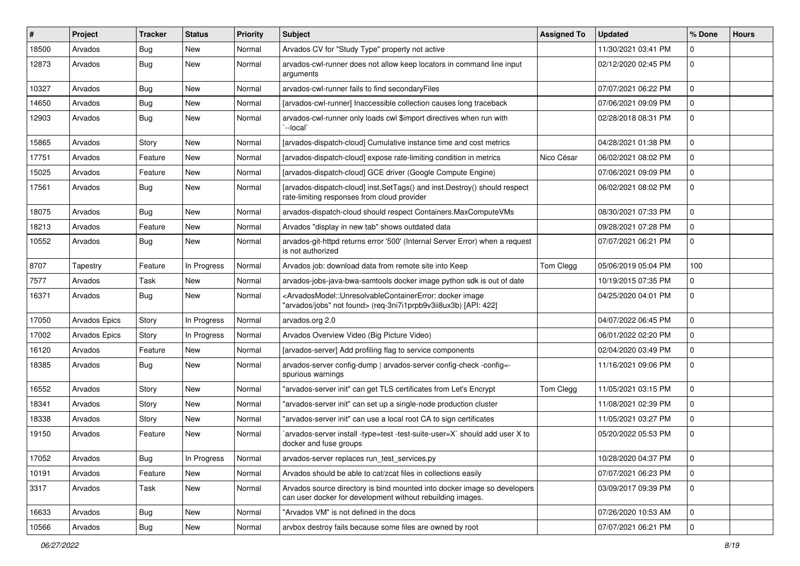| $\sharp$ | Project              | <b>Tracker</b> | <b>Status</b> | <b>Priority</b> | <b>Subject</b>                                                                                                                                                                  | <b>Assigned To</b> | <b>Updated</b>      | % Done      | <b>Hours</b> |
|----------|----------------------|----------------|---------------|-----------------|---------------------------------------------------------------------------------------------------------------------------------------------------------------------------------|--------------------|---------------------|-------------|--------------|
| 18500    | Arvados              | <b>Bug</b>     | New           | Normal          | Arvados CV for "Study Type" property not active                                                                                                                                 |                    | 11/30/2021 03:41 PM | $\Omega$    |              |
| 12873    | Arvados              | Bug            | <b>New</b>    | Normal          | arvados-cwl-runner does not allow keep locators in command line input<br>arguments                                                                                              |                    | 02/12/2020 02:45 PM | $\mathbf 0$ |              |
| 10327    | Arvados              | Bug            | <b>New</b>    | Normal          | arvados-cwl-runner fails to find secondaryFiles                                                                                                                                 |                    | 07/07/2021 06:22 PM | $\mathbf 0$ |              |
| 14650    | Arvados              | Bug            | New           | Normal          | [arvados-cwl-runner] Inaccessible collection causes long traceback                                                                                                              |                    | 07/06/2021 09:09 PM | $\mathbf 0$ |              |
| 12903    | Arvados              | Bug            | New           | Normal          | arvados-cwl-runner only loads cwl \$import directives when run with<br>`--local`                                                                                                |                    | 02/28/2018 08:31 PM | $\mathbf 0$ |              |
| 15865    | Arvados              | Story          | New           | Normal          | [arvados-dispatch-cloud] Cumulative instance time and cost metrics                                                                                                              |                    | 04/28/2021 01:38 PM | 0           |              |
| 17751    | Arvados              | Feature        | New           | Normal          | [arvados-dispatch-cloud] expose rate-limiting condition in metrics                                                                                                              | Nico César         | 06/02/2021 08:02 PM | $\mathbf 0$ |              |
| 15025    | Arvados              | Feature        | <b>New</b>    | Normal          | [arvados-dispatch-cloud] GCE driver (Google Compute Engine)                                                                                                                     |                    | 07/06/2021 09:09 PM | 0           |              |
| 17561    | Arvados              | Bug            | New           | Normal          | [arvados-dispatch-cloud] inst.SetTags() and inst.Destroy() should respect<br>rate-limiting responses from cloud provider                                                        |                    | 06/02/2021 08:02 PM | 0           |              |
| 18075    | Arvados              | Bug            | <b>New</b>    | Normal          | arvados-dispatch-cloud should respect Containers.MaxComputeVMs                                                                                                                  |                    | 08/30/2021 07:33 PM | $\mathbf 0$ |              |
| 18213    | Arvados              | Feature        | New           | Normal          | Arvados "display in new tab" shows outdated data                                                                                                                                |                    | 09/28/2021 07:28 PM | $\mathbf 0$ |              |
| 10552    | Arvados              | Bug            | New           | Normal          | arvados-git-httpd returns error '500' (Internal Server Error) when a request<br>is not authorized                                                                               |                    | 07/07/2021 06:21 PM | $\mathbf 0$ |              |
| 8707     | Tapestry             | Feature        | In Progress   | Normal          | Arvados job: download data from remote site into Keep                                                                                                                           | Tom Clegg          | 05/06/2019 05:04 PM | 100         |              |
| 7577     | Arvados              | Task           | New           | Normal          | arvados-jobs-java-bwa-samtools docker image python sdk is out of date                                                                                                           |                    | 10/19/2015 07:35 PM | 0           |              |
| 16371    | Arvados              | Bug            | New           | Normal          | <arvadosmodel::unresolvablecontainererror: docker="" image<br="">"arvados/jobs" not found&gt; (req-3ni7i1prpb9v3ii8ux3b) [API: 422]</arvadosmodel::unresolvablecontainererror:> |                    | 04/25/2020 04:01 PM | $\Omega$    |              |
| 17050    | <b>Arvados Epics</b> | Story          | In Progress   | Normal          | arvados.org 2.0                                                                                                                                                                 |                    | 04/07/2022 06:45 PM | $\mathbf 0$ |              |
| 17002    | <b>Arvados Epics</b> | Story          | In Progress   | Normal          | Arvados Overview Video (Big Picture Video)                                                                                                                                      |                    | 06/01/2022 02:20 PM | $\mathbf 0$ |              |
| 16120    | Arvados              | Feature        | <b>New</b>    | Normal          | [arvados-server] Add profiling flag to service components                                                                                                                       |                    | 02/04/2020 03:49 PM | $\Omega$    |              |
| 18385    | Arvados              | Bug            | New           | Normal          | arvados-server config-dump   arvados-server config-check -config=-<br>spurious warnings                                                                                         |                    | 11/16/2021 09:06 PM | 0           |              |
| 16552    | Arvados              | Story          | <b>New</b>    | Normal          | "arvados-server init" can get TLS certificates from Let's Encrypt                                                                                                               | Tom Clegg          | 11/05/2021 03:15 PM | $\mathbf 0$ |              |
| 18341    | Arvados              | Story          | New           | Normal          | "arvados-server init" can set up a single-node production cluster                                                                                                               |                    | 11/08/2021 02:39 PM | $\mathbf 0$ |              |
| 18338    | Arvados              | Story          | New           | Normal          | "arvados-server init" can use a local root CA to sign certificates                                                                                                              |                    | 11/05/2021 03:27 PM | $\mathbf 0$ |              |
| 19150    | Arvados              | Feature        | New           | Normal          | `arvados-server install -type=test -test-suite-user=X` should add user X to<br>docker and fuse groups                                                                           |                    | 05/20/2022 05:53 PM | 0           |              |
| 17052    | Arvados              | Bug            | In Progress   | Normal          | arvados-server replaces run test services.py                                                                                                                                    |                    | 10/28/2020 04:37 PM | $\mathbf 0$ |              |
| 10191    | Arvados              | Feature        | New           | Normal          | Arvados should be able to cat/zcat files in collections easily                                                                                                                  |                    | 07/07/2021 06:23 PM | 0           |              |
| 3317     | Arvados              | Task           | New           | Normal          | Arvados source directory is bind mounted into docker image so developers<br>can user docker for development without rebuilding images.                                          |                    | 03/09/2017 09:39 PM | 0           |              |
| 16633    | Arvados              | Bug            | New           | Normal          | "Arvados VM" is not defined in the docs                                                                                                                                         |                    | 07/26/2020 10:53 AM | 0           |              |
| 10566    | Arvados              | <b>Bug</b>     | New           | Normal          | arvbox destroy fails because some files are owned by root                                                                                                                       |                    | 07/07/2021 06:21 PM | $\mathbf 0$ |              |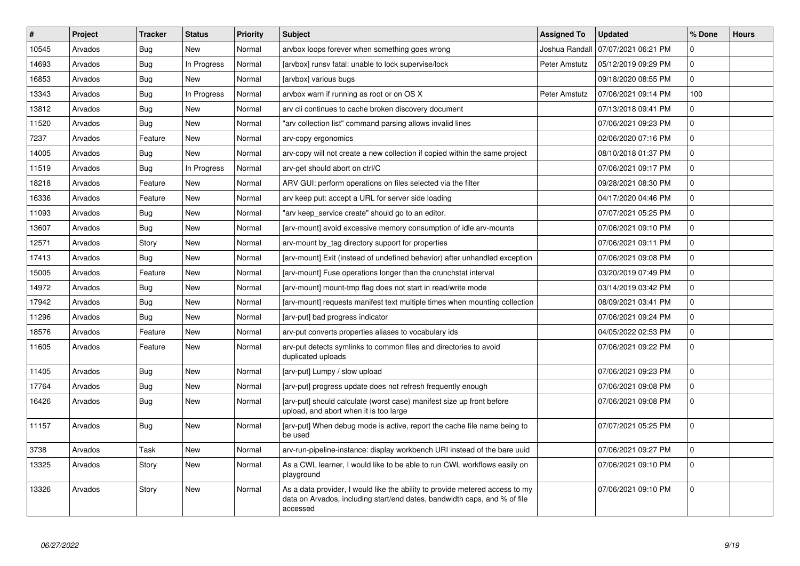| #     | Project | <b>Tracker</b> | <b>Status</b> | Priority | <b>Subject</b>                                                                                                                                                        | <b>Assigned To</b> | <b>Updated</b>      | % Done      | <b>Hours</b> |
|-------|---------|----------------|---------------|----------|-----------------------------------------------------------------------------------------------------------------------------------------------------------------------|--------------------|---------------------|-------------|--------------|
| 10545 | Arvados | Bug            | <b>New</b>    | Normal   | arvbox loops forever when something goes wrong                                                                                                                        | Joshua Randal      | 07/07/2021 06:21 PM | $\Omega$    |              |
| 14693 | Arvados | Bug            | In Progress   | Normal   | [arvbox] runsv fatal: unable to lock supervise/lock                                                                                                                   | Peter Amstutz      | 05/12/2019 09:29 PM | $\Omega$    |              |
| 16853 | Arvados | Bug            | New           | Normal   | [arvbox] various bugs                                                                                                                                                 |                    | 09/18/2020 08:55 PM | $\mathbf 0$ |              |
| 13343 | Arvados | <b>Bug</b>     | In Progress   | Normal   | arvbox warn if running as root or on OS X                                                                                                                             | Peter Amstutz      | 07/06/2021 09:14 PM | 100         |              |
| 13812 | Arvados | Bug            | New           | Normal   | arv cli continues to cache broken discovery document                                                                                                                  |                    | 07/13/2018 09:41 PM | $\mathbf 0$ |              |
| 11520 | Arvados | Bug            | <b>New</b>    | Normal   | "arv collection list" command parsing allows invalid lines                                                                                                            |                    | 07/06/2021 09:23 PM | $\Omega$    |              |
| 7237  | Arvados | Feature        | New           | Normal   | arv-copy ergonomics                                                                                                                                                   |                    | 02/06/2020 07:16 PM | $\Omega$    |              |
| 14005 | Arvados | Bug            | New           | Normal   | arv-copy will not create a new collection if copied within the same project                                                                                           |                    | 08/10/2018 01:37 PM | $\Omega$    |              |
| 11519 | Arvados | Bug            | In Progress   | Normal   | arv-get should abort on ctrl/C                                                                                                                                        |                    | 07/06/2021 09:17 PM | $\Omega$    |              |
| 18218 | Arvados | Feature        | New           | Normal   | ARV GUI: perform operations on files selected via the filter                                                                                                          |                    | 09/28/2021 08:30 PM | $\mathbf 0$ |              |
| 16336 | Arvados | Feature        | New           | Normal   | arv keep put: accept a URL for server side loading                                                                                                                    |                    | 04/17/2020 04:46 PM | $\Omega$    |              |
| 11093 | Arvados | Bug            | New           | Normal   | 'arv keep service create" should go to an editor.                                                                                                                     |                    | 07/07/2021 05:25 PM | $\mathbf 0$ |              |
| 13607 | Arvados | Bug            | <b>New</b>    | Normal   | [arv-mount] avoid excessive memory consumption of idle arv-mounts                                                                                                     |                    | 07/06/2021 09:10 PM | $\Omega$    |              |
| 12571 | Arvados | Story          | New           | Normal   | arv-mount by tag directory support for properties                                                                                                                     |                    | 07/06/2021 09:11 PM | $\mathbf 0$ |              |
| 17413 | Arvados | Bug            | New           | Normal   | [arv-mount] Exit (instead of undefined behavior) after unhandled exception                                                                                            |                    | 07/06/2021 09:08 PM | $\Omega$    |              |
| 15005 | Arvados | Feature        | <b>New</b>    | Normal   | [arv-mount] Fuse operations longer than the crunchstat interval                                                                                                       |                    | 03/20/2019 07:49 PM | $\mathbf 0$ |              |
| 14972 | Arvados | Bug            | New           | Normal   | [arv-mount] mount-tmp flag does not start in read/write mode                                                                                                          |                    | 03/14/2019 03:42 PM | $\Omega$    |              |
| 17942 | Arvados | <b>Bug</b>     | <b>New</b>    | Normal   | [arv-mount] requests manifest text multiple times when mounting collection                                                                                            |                    | 08/09/2021 03:41 PM | $\Omega$    |              |
| 11296 | Arvados | Bug            | New           | Normal   | [arv-put] bad progress indicator                                                                                                                                      |                    | 07/06/2021 09:24 PM | $\mathbf 0$ |              |
| 18576 | Arvados | Feature        | <b>New</b>    | Normal   | arv-put converts properties aliases to vocabulary ids                                                                                                                 |                    | 04/05/2022 02:53 PM | $\mathbf 0$ |              |
| 11605 | Arvados | Feature        | <b>New</b>    | Normal   | arv-put detects symlinks to common files and directories to avoid<br>duplicated uploads                                                                               |                    | 07/06/2021 09:22 PM | $\Omega$    |              |
| 11405 | Arvados | Bug            | <b>New</b>    | Normal   | [arv-put] Lumpy / slow upload                                                                                                                                         |                    | 07/06/2021 09:23 PM | $\mathbf 0$ |              |
| 17764 | Arvados | Bug            | <b>New</b>    | Normal   | [arv-put] progress update does not refresh frequently enough                                                                                                          |                    | 07/06/2021 09:08 PM | $\Omega$    |              |
| 16426 | Arvados | Bug            | <b>New</b>    | Normal   | [arv-put] should calculate (worst case) manifest size up front before<br>upload, and abort when it is too large                                                       |                    | 07/06/2021 09:08 PM | $\Omega$    |              |
| 11157 | Arvados | Bug            | <b>New</b>    | Normal   | [arv-put] When debug mode is active, report the cache file name being to<br>be used                                                                                   |                    | 07/07/2021 05:25 PM | $\Omega$    |              |
| 3738  | Arvados | Task           | <b>New</b>    | Normal   | arv-run-pipeline-instance: display workbench URI instead of the bare uuid                                                                                             |                    | 07/06/2021 09:27 PM | $\mathbf 0$ |              |
| 13325 | Arvados | Story          | New           | Normal   | As a CWL learner, I would like to be able to run CWL workflows easily on<br>playground                                                                                |                    | 07/06/2021 09:10 PM | $\Omega$    |              |
| 13326 | Arvados | Story          | <b>New</b>    | Normal   | As a data provider, I would like the ability to provide metered access to my<br>data on Arvados, including start/end dates, bandwidth caps, and % of file<br>accessed |                    | 07/06/2021 09:10 PM | $\mathbf 0$ |              |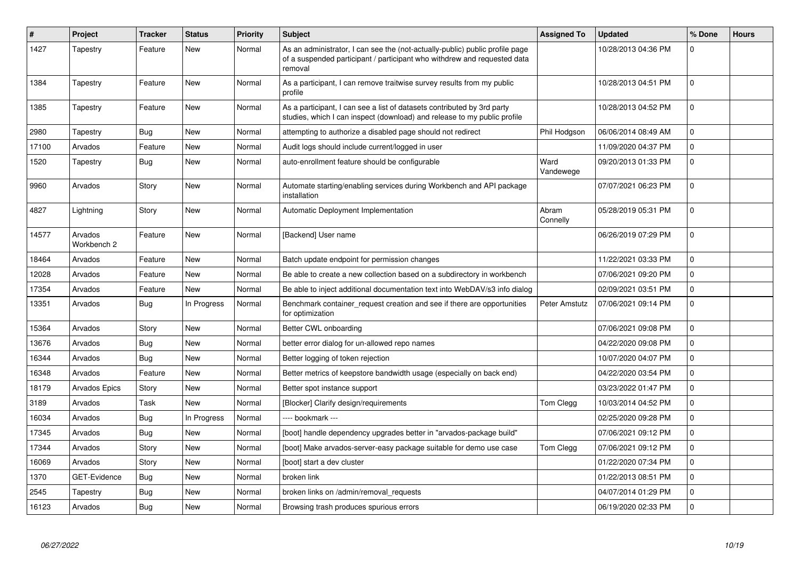| $\#$  | <b>Project</b>         | <b>Tracker</b> | <b>Status</b> | <b>Priority</b> | <b>Subject</b>                                                                                                                                                      | Assigned To       | <b>Updated</b>      | % Done      | <b>Hours</b> |
|-------|------------------------|----------------|---------------|-----------------|---------------------------------------------------------------------------------------------------------------------------------------------------------------------|-------------------|---------------------|-------------|--------------|
| 1427  | Tapestry               | Feature        | <b>New</b>    | Normal          | As an administrator, I can see the (not-actually-public) public profile page<br>of a suspended participant / participant who withdrew and requested data<br>removal |                   | 10/28/2013 04:36 PM | $\Omega$    |              |
| 1384  | Tapestry               | Feature        | <b>New</b>    | Normal          | As a participant, I can remove traitwise survey results from my public<br>profile                                                                                   |                   | 10/28/2013 04:51 PM | $\Omega$    |              |
| 1385  | Tapestry               | Feature        | <b>New</b>    | Normal          | As a participant, I can see a list of datasets contributed by 3rd party<br>studies, which I can inspect (download) and release to my public profile                 |                   | 10/28/2013 04:52 PM | $\mathbf 0$ |              |
| 2980  | Tapestry               | Bug            | <b>New</b>    | Normal          | attempting to authorize a disabled page should not redirect                                                                                                         | Phil Hodgson      | 06/06/2014 08:49 AM | $\Omega$    |              |
| 17100 | Arvados                | Feature        | <b>New</b>    | Normal          | Audit logs should include current/logged in user                                                                                                                    |                   | 11/09/2020 04:37 PM | $\mathbf 0$ |              |
| 1520  | Tapestry               | Bug            | New           | Normal          | auto-enrollment feature should be configurable                                                                                                                      | Ward<br>Vandewege | 09/20/2013 01:33 PM | $\mathbf 0$ |              |
| 9960  | Arvados                | Story          | New           | Normal          | Automate starting/enabling services during Workbench and API package<br>installation                                                                                |                   | 07/07/2021 06:23 PM | $\mathbf 0$ |              |
| 4827  | Lightning              | Story          | <b>New</b>    | Normal          | Automatic Deployment Implementation                                                                                                                                 | Abram<br>Connelly | 05/28/2019 05:31 PM | $\Omega$    |              |
| 14577 | Arvados<br>Workbench 2 | Feature        | <b>New</b>    | Normal          | [Backend] User name                                                                                                                                                 |                   | 06/26/2019 07:29 PM | $\Omega$    |              |
| 18464 | Arvados                | Feature        | <b>New</b>    | Normal          | Batch update endpoint for permission changes                                                                                                                        |                   | 11/22/2021 03:33 PM | $\mathbf 0$ |              |
| 12028 | Arvados                | Feature        | New           | Normal          | Be able to create a new collection based on a subdirectory in workbench                                                                                             |                   | 07/06/2021 09:20 PM | $\mathbf 0$ |              |
| 17354 | Arvados                | Feature        | New           | Normal          | Be able to inject additional documentation text into WebDAV/s3 info dialog                                                                                          |                   | 02/09/2021 03:51 PM | $\mathbf 0$ |              |
| 13351 | Arvados                | <b>Bug</b>     | In Progress   | Normal          | Benchmark container_request creation and see if there are opportunities<br>for optimization                                                                         | Peter Amstutz     | 07/06/2021 09:14 PM | $\mathbf 0$ |              |
| 15364 | Arvados                | Story          | <b>New</b>    | Normal          | Better CWL onboarding                                                                                                                                               |                   | 07/06/2021 09:08 PM | $\Omega$    |              |
| 13676 | Arvados                | <b>Bug</b>     | New           | Normal          | better error dialog for un-allowed repo names                                                                                                                       |                   | 04/22/2020 09:08 PM | $\mathbf 0$ |              |
| 16344 | Arvados                | Bug            | New           | Normal          | Better logging of token rejection                                                                                                                                   |                   | 10/07/2020 04:07 PM | $\mathbf 0$ |              |
| 16348 | Arvados                | Feature        | New           | Normal          | Better metrics of keepstore bandwidth usage (especially on back end)                                                                                                |                   | 04/22/2020 03:54 PM | $\mathbf 0$ |              |
| 18179 | <b>Arvados Epics</b>   | Story          | New           | Normal          | Better spot instance support                                                                                                                                        |                   | 03/23/2022 01:47 PM | $\mathbf 0$ |              |
| 3189  | Arvados                | Task           | New           | Normal          | [Blocker] Clarify design/requirements                                                                                                                               | Tom Clegg         | 10/03/2014 04:52 PM | $\mathbf 0$ |              |
| 16034 | Arvados                | Bug            | In Progress   | Normal          | --- bookmark ---                                                                                                                                                    |                   | 02/25/2020 09:28 PM | $\mathbf 0$ |              |
| 17345 | Arvados                | Bug            | New           | Normal          | [boot] handle dependency upgrades better in "arvados-package build"                                                                                                 |                   | 07/06/2021 09:12 PM | $\mathbf 0$ |              |
| 17344 | Arvados                | Story          | <b>New</b>    | Normal          | [boot] Make arvados-server-easy package suitable for demo use case                                                                                                  | Tom Clegg         | 07/06/2021 09:12 PM | $\mathbf 0$ |              |
| 16069 | Arvados                | Story          | New           | Normal          | [boot] start a dev cluster                                                                                                                                          |                   | 01/22/2020 07:34 PM | $\mathbf 0$ |              |
| 1370  | GET-Evidence           | <b>Bug</b>     | <b>New</b>    | Normal          | broken link                                                                                                                                                         |                   | 01/22/2013 08:51 PM | $\mathbf 0$ |              |
| 2545  | Tapestry               | Bug            | New           | Normal          | broken links on /admin/removal requests                                                                                                                             |                   | 04/07/2014 01:29 PM | $\mathbf 0$ |              |
| 16123 | Arvados                | Bug            | New           | Normal          | Browsing trash produces spurious errors                                                                                                                             |                   | 06/19/2020 02:33 PM | $\Omega$    |              |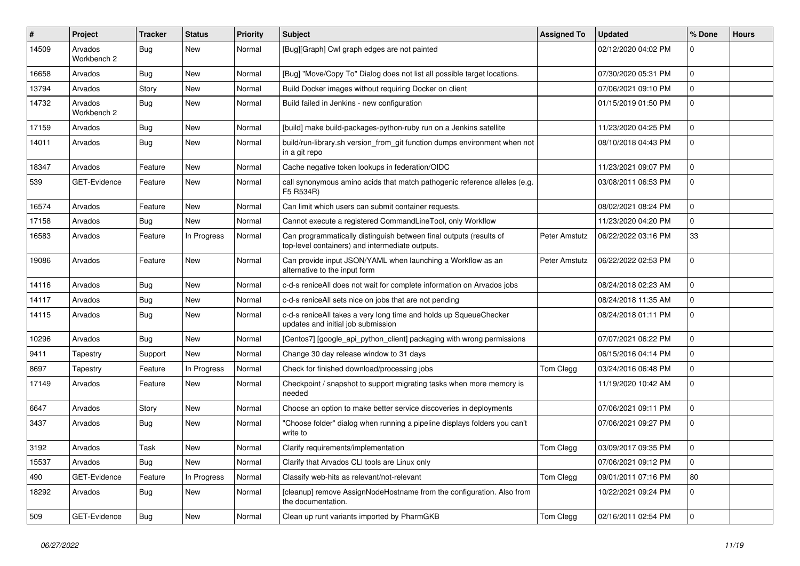| $\vert$ # | <b>Project</b>         | <b>Tracker</b> | <b>Status</b> | <b>Priority</b> | <b>Subject</b>                                                                                                        | <b>Assigned To</b> | <b>Updated</b>      | % Done      | <b>Hours</b> |
|-----------|------------------------|----------------|---------------|-----------------|-----------------------------------------------------------------------------------------------------------------------|--------------------|---------------------|-------------|--------------|
| 14509     | Arvados<br>Workbench 2 | Bug            | <b>New</b>    | Normal          | [Bug][Graph] Cwl graph edges are not painted                                                                          |                    | 02/12/2020 04:02 PM | $\Omega$    |              |
| 16658     | Arvados                | Bug            | <b>New</b>    | Normal          | [Bug] "Move/Copy To" Dialog does not list all possible target locations.                                              |                    | 07/30/2020 05:31 PM | $\mathbf 0$ |              |
| 13794     | Arvados                | Story          | <b>New</b>    | Normal          | Build Docker images without requiring Docker on client                                                                |                    | 07/06/2021 09:10 PM | 0           |              |
| 14732     | Arvados<br>Workbench 2 | Bug            | <b>New</b>    | Normal          | Build failed in Jenkins - new configuration                                                                           |                    | 01/15/2019 01:50 PM | 0           |              |
| 17159     | Arvados                | <b>Bug</b>     | <b>New</b>    | Normal          | [build] make build-packages-python-ruby run on a Jenkins satellite                                                    |                    | 11/23/2020 04:25 PM | $\Omega$    |              |
| 14011     | Arvados                | <b>Bug</b>     | <b>New</b>    | Normal          | build/run-library.sh version_from_git function dumps environment when not<br>in a git repo                            |                    | 08/10/2018 04:43 PM | $\mathbf 0$ |              |
| 18347     | Arvados                | Feature        | <b>New</b>    | Normal          | Cache negative token lookups in federation/OIDC                                                                       |                    | 11/23/2021 09:07 PM | $\mathbf 0$ |              |
| 539       | <b>GET-Evidence</b>    | Feature        | <b>New</b>    | Normal          | call synonymous amino acids that match pathogenic reference alleles (e.g.<br>F5 R534R)                                |                    | 03/08/2011 06:53 PM | $\mathbf 0$ |              |
| 16574     | Arvados                | Feature        | <b>New</b>    | Normal          | Can limit which users can submit container requests.                                                                  |                    | 08/02/2021 08:24 PM | $\mathbf 0$ |              |
| 17158     | Arvados                | <b>Bug</b>     | <b>New</b>    | Normal          | Cannot execute a registered CommandLineTool, only Workflow                                                            |                    | 11/23/2020 04:20 PM | 0           |              |
| 16583     | Arvados                | Feature        | In Progress   | Normal          | Can programmatically distinguish between final outputs (results of<br>top-level containers) and intermediate outputs. | Peter Amstutz      | 06/22/2022 03:16 PM | 33          |              |
| 19086     | Arvados                | Feature        | <b>New</b>    | Normal          | Can provide input JSON/YAML when launching a Workflow as an<br>alternative to the input form                          | Peter Amstutz      | 06/22/2022 02:53 PM | $\Omega$    |              |
| 14116     | Arvados                | Bug            | <b>New</b>    | Normal          | c-d-s reniceAll does not wait for complete information on Arvados jobs                                                |                    | 08/24/2018 02:23 AM | $\mathbf 0$ |              |
| 14117     | Arvados                | Bug            | <b>New</b>    | Normal          | c-d-s reniceAll sets nice on jobs that are not pending                                                                |                    | 08/24/2018 11:35 AM | $\mathbf 0$ |              |
| 14115     | Arvados                | Bug            | <b>New</b>    | Normal          | c-d-s reniceAll takes a very long time and holds up SqueueChecker<br>updates and initial job submission               |                    | 08/24/2018 01:11 PM | $\mathbf 0$ |              |
| 10296     | Arvados                | Bug            | <b>New</b>    | Normal          | [Centos7] [google api python client] packaging with wrong permissions                                                 |                    | 07/07/2021 06:22 PM | $\mathbf 0$ |              |
| 9411      | Tapestry               | Support        | <b>New</b>    | Normal          | Change 30 day release window to 31 days                                                                               |                    | 06/15/2016 04:14 PM | $\mathbf 0$ |              |
| 8697      | Tapestry               | Feature        | In Progress   | Normal          | Check for finished download/processing jobs                                                                           | Tom Clegg          | 03/24/2016 06:48 PM | 0           |              |
| 17149     | Arvados                | Feature        | <b>New</b>    | Normal          | Checkpoint / snapshot to support migrating tasks when more memory is<br>needed                                        |                    | 11/19/2020 10:42 AM | $\mathbf 0$ |              |
| 6647      | Arvados                | Story          | <b>New</b>    | Normal          | Choose an option to make better service discoveries in deployments                                                    |                    | 07/06/2021 09:11 PM | $\mathbf 0$ |              |
| 3437      | Arvados                | <b>Bug</b>     | <b>New</b>    | Normal          | "Choose folder" dialog when running a pipeline displays folders you can't<br>write to                                 |                    | 07/06/2021 09:27 PM | $\mathbf 0$ |              |
| 3192      | Arvados                | Task           | <b>New</b>    | Normal          | Clarify requirements/implementation                                                                                   | Tom Clegg          | 03/09/2017 09:35 PM | $\mathbf 0$ |              |
| 15537     | Arvados                | Bug            | <b>New</b>    | Normal          | Clarify that Arvados CLI tools are Linux only                                                                         |                    | 07/06/2021 09:12 PM | $\mathbf 0$ |              |
| 490       | <b>GET-Evidence</b>    | Feature        | In Progress   | Normal          | Classify web-hits as relevant/not-relevant                                                                            | Tom Clegg          | 09/01/2011 07:16 PM | 80          |              |
| 18292     | Arvados                | Bug            | <b>New</b>    | Normal          | [cleanup] remove AssignNodeHostname from the configuration. Also from<br>the documentation.                           |                    | 10/22/2021 09:24 PM | $\mathbf 0$ |              |
| 509       | <b>GET-Evidence</b>    | Bug            | <b>New</b>    | Normal          | Clean up runt variants imported by PharmGKB                                                                           | Tom Clegg          | 02/16/2011 02:54 PM | $\Omega$    |              |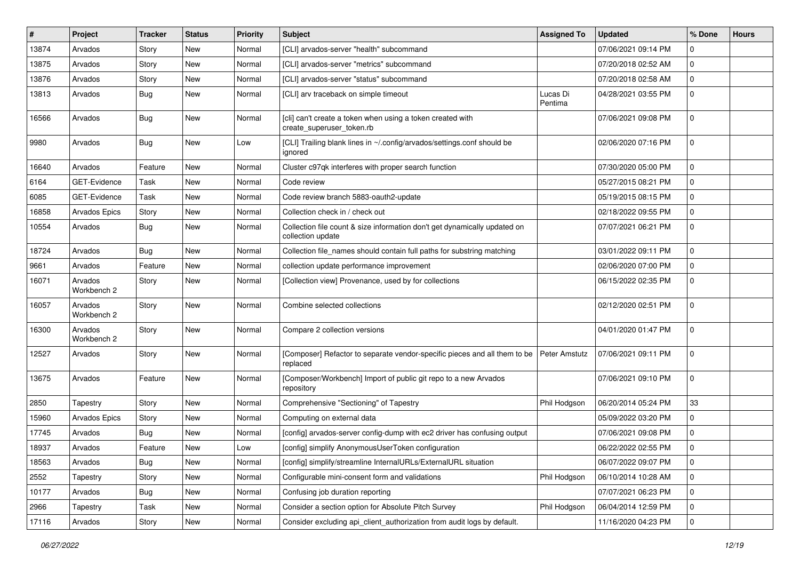| #     | Project                | Tracker    | <b>Status</b> | <b>Priority</b> | Subject                                                                                        | <b>Assigned To</b>  | <b>Updated</b>      | % Done      | <b>Hours</b> |
|-------|------------------------|------------|---------------|-----------------|------------------------------------------------------------------------------------------------|---------------------|---------------------|-------------|--------------|
| 13874 | Arvados                | Story      | New           | Normal          | [CLI] arvados-server "health" subcommand                                                       |                     | 07/06/2021 09:14 PM | $\Omega$    |              |
| 13875 | Arvados                | Story      | <b>New</b>    | Normal          | [CLI] arvados-server "metrics" subcommand                                                      |                     | 07/20/2018 02:52 AM | $\mathbf 0$ |              |
| 13876 | Arvados                | Story      | New           | Normal          | [CLI] arvados-server "status" subcommand                                                       |                     | 07/20/2018 02:58 AM | $\Omega$    |              |
| 13813 | Arvados                | Bug        | New           | Normal          | [CLI] arv traceback on simple timeout                                                          | Lucas Di<br>Pentima | 04/28/2021 03:55 PM | $\Omega$    |              |
| 16566 | Arvados                | Bug        | New           | Normal          | [cli] can't create a token when using a token created with<br>create_superuser_token.rb        |                     | 07/06/2021 09:08 PM | $\Omega$    |              |
| 9980  | Arvados                | Bug        | New           | Low             | [CLI] Trailing blank lines in ~/.config/arvados/settings.conf should be<br>ignored             |                     | 02/06/2020 07:16 PM | 0           |              |
| 16640 | Arvados                | Feature    | <b>New</b>    | Normal          | Cluster c97qk interferes with proper search function                                           |                     | 07/30/2020 05:00 PM | $\mathbf 0$ |              |
| 6164  | GET-Evidence           | Task       | New           | Normal          | Code review                                                                                    |                     | 05/27/2015 08:21 PM | $\Omega$    |              |
| 6085  | GET-Evidence           | Task       | New           | Normal          | Code review branch 5883-oauth2-update                                                          |                     | 05/19/2015 08:15 PM | $\mathbf 0$ |              |
| 16858 | <b>Arvados Epics</b>   | Story      | New           | Normal          | Collection check in / check out                                                                |                     | 02/18/2022 09:55 PM | $\mathbf 0$ |              |
| 10554 | Arvados                | Bug        | New           | Normal          | Collection file count & size information don't get dynamically updated on<br>collection update |                     | 07/07/2021 06:21 PM | $\mathbf 0$ |              |
| 18724 | Arvados                | Bug        | <b>New</b>    | Normal          | Collection file_names should contain full paths for substring matching                         |                     | 03/01/2022 09:11 PM | $\mathbf 0$ |              |
| 9661  | Arvados                | Feature    | New           | Normal          | collection update performance improvement                                                      |                     | 02/06/2020 07:00 PM | $\Omega$    |              |
| 16071 | Arvados<br>Workbench 2 | Story      | <b>New</b>    | Normal          | [Collection view] Provenance, used by for collections                                          |                     | 06/15/2022 02:35 PM | $\mathbf 0$ |              |
| 16057 | Arvados<br>Workbench 2 | Story      | New           | Normal          | Combine selected collections                                                                   |                     | 02/12/2020 02:51 PM | $\Omega$    |              |
| 16300 | Arvados<br>Workbench 2 | Story      | New           | Normal          | Compare 2 collection versions                                                                  |                     | 04/01/2020 01:47 PM | $\Omega$    |              |
| 12527 | Arvados                | Story      | New           | Normal          | [Composer] Refactor to separate vendor-specific pieces and all them to be<br>replaced          | Peter Amstutz       | 07/06/2021 09:11 PM | $\mathbf 0$ |              |
| 13675 | Arvados                | Feature    | <b>New</b>    | Normal          | [Composer/Workbench] Import of public git repo to a new Arvados<br>repository                  |                     | 07/06/2021 09:10 PM | $\Omega$    |              |
| 2850  | Tapestry               | Story      | New           | Normal          | Comprehensive "Sectioning" of Tapestry                                                         | Phil Hodgson        | 06/20/2014 05:24 PM | 33          |              |
| 15960 | <b>Arvados Epics</b>   | Story      | <b>New</b>    | Normal          | Computing on external data                                                                     |                     | 05/09/2022 03:20 PM | $\mathbf 0$ |              |
| 17745 | Arvados                | <b>Bug</b> | New           | Normal          | [config] arvados-server config-dump with ec2 driver has confusing output                       |                     | 07/06/2021 09:08 PM | $\mathbf 0$ |              |
| 18937 | Arvados                | Feature    | New           | Low             | [config] simplify AnonymousUserToken configuration                                             |                     | 06/22/2022 02:55 PM | $\Omega$    |              |
| 18563 | Arvados                | Bug        | New           | Normal          | [config] simplify/streamline InternalURLs/ExternalURL situation                                |                     | 06/07/2022 09:07 PM | 0           |              |
| 2552  | Tapestry               | Story      | New           | Normal          | Configurable mini-consent form and validations                                                 | Phil Hodgson        | 06/10/2014 10:28 AM | $\mathbf 0$ |              |
| 10177 | Arvados                | <b>Bug</b> | New           | Normal          | Confusing job duration reporting                                                               |                     | 07/07/2021 06:23 PM | 0           |              |
| 2966  | Tapestry               | Task       | New           | Normal          | Consider a section option for Absolute Pitch Survey                                            | Phil Hodgson        | 06/04/2014 12:59 PM | 0           |              |
| 17116 | Arvados                | Story      | New           | Normal          | Consider excluding api_client_authorization from audit logs by default.                        |                     | 11/16/2020 04:23 PM | 0           |              |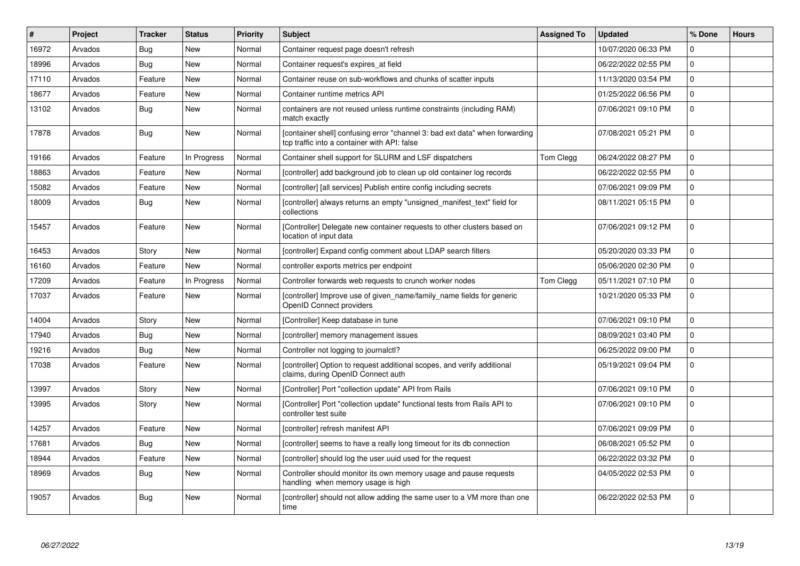| $\#$  | <b>Project</b> | <b>Tracker</b> | <b>Status</b> | <b>Priority</b> | <b>Subject</b>                                                                                                              | <b>Assigned To</b> | <b>Updated</b>      | % Done      | <b>Hours</b> |
|-------|----------------|----------------|---------------|-----------------|-----------------------------------------------------------------------------------------------------------------------------|--------------------|---------------------|-------------|--------------|
| 16972 | Arvados        | <b>Bug</b>     | <b>New</b>    | Normal          | Container request page doesn't refresh                                                                                      |                    | 10/07/2020 06:33 PM | $\Omega$    |              |
| 18996 | Arvados        | Bug            | <b>New</b>    | Normal          | Container request's expires at field                                                                                        |                    | 06/22/2022 02:55 PM | $\Omega$    |              |
| 17110 | Arvados        | Feature        | New           | Normal          | Container reuse on sub-workflows and chunks of scatter inputs                                                               |                    | 11/13/2020 03:54 PM | $\mathbf 0$ |              |
| 18677 | Arvados        | Feature        | New           | Normal          | Container runtime metrics API                                                                                               |                    | 01/25/2022 06:56 PM | $\mathbf 0$ |              |
| 13102 | Arvados        | <b>Bug</b>     | New           | Normal          | containers are not reused unless runtime constraints (including RAM)<br>match exactly                                       |                    | 07/06/2021 09:10 PM | $\Omega$    |              |
| 17878 | Arvados        | <b>Bug</b>     | <b>New</b>    | Normal          | [container shell] confusing error "channel 3: bad ext data" when forwarding<br>tcp traffic into a container with API: false |                    | 07/08/2021 05:21 PM | $\Omega$    |              |
| 19166 | Arvados        | Feature        | In Progress   | Normal          | Container shell support for SLURM and LSF dispatchers                                                                       | Tom Clegg          | 06/24/2022 08:27 PM | $\Omega$    |              |
| 18863 | Arvados        | Feature        | <b>New</b>    | Normal          | [controller] add background job to clean up old container log records                                                       |                    | 06/22/2022 02:55 PM | $\mathbf 0$ |              |
| 15082 | Arvados        | Feature        | New           | Normal          | [controller] [all services] Publish entire config including secrets                                                         |                    | 07/06/2021 09:09 PM | $\Omega$    |              |
| 18009 | Arvados        | Bug            | New           | Normal          | [controller] always returns an empty "unsigned manifest text" field for<br>collections                                      |                    | 08/11/2021 05:15 PM | $\mathbf 0$ |              |
| 15457 | Arvados        | Feature        | New           | Normal          | [Controller] Delegate new container requests to other clusters based on<br>location of input data                           |                    | 07/06/2021 09:12 PM | $\Omega$    |              |
| 16453 | Arvados        | Story          | <b>New</b>    | Normal          | [controller] Expand config comment about LDAP search filters                                                                |                    | 05/20/2020 03:33 PM | $\Omega$    |              |
| 16160 | Arvados        | Feature        | <b>New</b>    | Normal          | controller exports metrics per endpoint                                                                                     |                    | 05/06/2020 02:30 PM | $\Omega$    |              |
| 17209 | Arvados        | Feature        | In Progress   | Normal          | Controller forwards web requests to crunch worker nodes                                                                     | Tom Clegg          | 05/11/2021 07:10 PM | $\mathbf 0$ |              |
| 17037 | Arvados        | Feature        | New           | Normal          | [controller] Improve use of given name/family name fields for generic<br>OpenID Connect providers                           |                    | 10/21/2020 05:33 PM | $\Omega$    |              |
| 14004 | Arvados        | Story          | New           | Normal          | [Controller] Keep database in tune                                                                                          |                    | 07/06/2021 09:10 PM | $\Omega$    |              |
| 17940 | Arvados        | Bug            | New           | Normal          | [controller] memory management issues                                                                                       |                    | 08/09/2021 03:40 PM | $\Omega$    |              |
| 19216 | Arvados        | <b>Bug</b>     | <b>New</b>    | Normal          | Controller not logging to journalctl?                                                                                       |                    | 06/25/2022 09:00 PM | $\mathbf 0$ |              |
| 17038 | Arvados        | Feature        | New           | Normal          | [controller] Option to request additional scopes, and verify additional<br>claims, during OpenID Connect auth               |                    | 05/19/2021 09:04 PM | $\Omega$    |              |
| 13997 | Arvados        | Story          | <b>New</b>    | Normal          | [Controller] Port "collection update" API from Rails                                                                        |                    | 07/06/2021 09:10 PM | $\mathbf 0$ |              |
| 13995 | Arvados        | Story          | <b>New</b>    | Normal          | [Controller] Port "collection update" functional tests from Rails API to<br>controller test suite                           |                    | 07/06/2021 09:10 PM | $\Omega$    |              |
| 14257 | Arvados        | Feature        | <b>New</b>    | Normal          | [controller] refresh manifest API                                                                                           |                    | 07/06/2021 09:09 PM | $\mathbf 0$ |              |
| 17681 | Arvados        | Bug            | <b>New</b>    | Normal          | [controller] seems to have a really long timeout for its db connection                                                      |                    | 06/08/2021 05:52 PM | $\Omega$    |              |
| 18944 | Arvados        | Feature        | New           | Normal          | [controller] should log the user uuid used for the request                                                                  |                    | 06/22/2022 03:32 PM | $\Omega$    |              |
| 18969 | Arvados        | <b>Bug</b>     | New           | Normal          | Controller should monitor its own memory usage and pause requests<br>handling when memory usage is high                     |                    | 04/05/2022 02:53 PM | $\mathbf 0$ |              |
| 19057 | Arvados        | Bug            | New           | Normal          | [controller] should not allow adding the same user to a VM more than one<br>time                                            |                    | 06/22/2022 02:53 PM | $\Omega$    |              |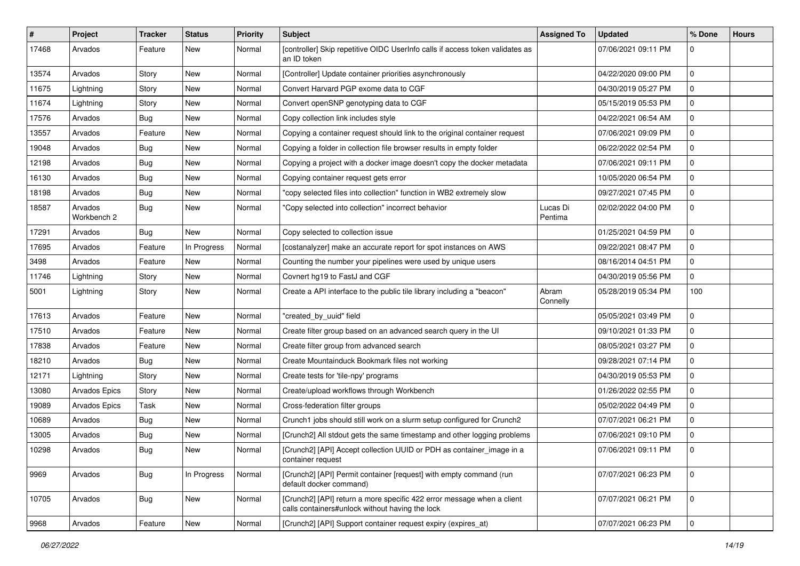| $\sharp$ | Project                | Tracker    | <b>Status</b> | <b>Priority</b> | <b>Subject</b>                                                                                                            | <b>Assigned To</b>  | <b>Updated</b>      | % Done      | <b>Hours</b> |
|----------|------------------------|------------|---------------|-----------------|---------------------------------------------------------------------------------------------------------------------------|---------------------|---------------------|-------------|--------------|
| 17468    | Arvados                | Feature    | New           | Normal          | [controller] Skip repetitive OIDC UserInfo calls if access token validates as<br>an ID token                              |                     | 07/06/2021 09:11 PM | $\Omega$    |              |
| 13574    | Arvados                | Story      | New           | Normal          | [Controller] Update container priorities asynchronously                                                                   |                     | 04/22/2020 09:00 PM | 0           |              |
| 11675    | Lightning              | Story      | <b>New</b>    | Normal          | Convert Harvard PGP exome data to CGF                                                                                     |                     | 04/30/2019 05:27 PM | 0           |              |
| 11674    | Lightning              | Story      | <b>New</b>    | Normal          | Convert openSNP genotyping data to CGF                                                                                    |                     | 05/15/2019 05:53 PM | 0           |              |
| 17576    | Arvados                | <b>Bug</b> | New           | Normal          | Copy collection link includes style                                                                                       |                     | 04/22/2021 06:54 AM | 0           |              |
| 13557    | Arvados                | Feature    | <b>New</b>    | Normal          | Copying a container request should link to the original container request                                                 |                     | 07/06/2021 09:09 PM | $\mathbf 0$ |              |
| 19048    | Arvados                | <b>Bug</b> | New           | Normal          | Copying a folder in collection file browser results in empty folder                                                       |                     | 06/22/2022 02:54 PM | 0           |              |
| 12198    | Arvados                | <b>Bug</b> | <b>New</b>    | Normal          | Copying a project with a docker image doesn't copy the docker metadata                                                    |                     | 07/06/2021 09:11 PM | $\mathbf 0$ |              |
| 16130    | Arvados                | Bug        | <b>New</b>    | Normal          | Copying container request gets error                                                                                      |                     | 10/05/2020 06:54 PM | 0           |              |
| 18198    | Arvados                | <b>Bug</b> | <b>New</b>    | Normal          | "copy selected files into collection" function in WB2 extremely slow                                                      |                     | 09/27/2021 07:45 PM | 0           |              |
| 18587    | Arvados<br>Workbench 2 | <b>Bug</b> | New           | Normal          | "Copy selected into collection" incorrect behavior                                                                        | Lucas Di<br>Pentima | 02/02/2022 04:00 PM | $\mathbf 0$ |              |
| 17291    | Arvados                | Bug        | New           | Normal          | Copy selected to collection issue                                                                                         |                     | 01/25/2021 04:59 PM | $\mathbf 0$ |              |
| 17695    | Arvados                | Feature    | In Progress   | Normal          | [costanalyzer] make an accurate report for spot instances on AWS                                                          |                     | 09/22/2021 08:47 PM | $\mathbf 0$ |              |
| 3498     | Arvados                | Feature    | New           | Normal          | Counting the number your pipelines were used by unique users                                                              |                     | 08/16/2014 04:51 PM | 0           |              |
| 11746    | Lightning              | Story      | New           | Normal          | Covnert hg19 to FastJ and CGF                                                                                             |                     | 04/30/2019 05:56 PM | 0           |              |
| 5001     | Lightning              | Story      | <b>New</b>    | Normal          | Create a API interface to the public tile library including a "beacon"                                                    | Abram<br>Connelly   | 05/28/2019 05:34 PM | 100         |              |
| 17613    | Arvados                | Feature    | New           | Normal          | "created_by_uuid" field                                                                                                   |                     | 05/05/2021 03:49 PM | 0           |              |
| 17510    | Arvados                | Feature    | <b>New</b>    | Normal          | Create filter group based on an advanced search query in the UI                                                           |                     | 09/10/2021 01:33 PM | 0           |              |
| 17838    | Arvados                | Feature    | <b>New</b>    | Normal          | Create filter group from advanced search                                                                                  |                     | 08/05/2021 03:27 PM | $\mathbf 0$ |              |
| 18210    | Arvados                | <b>Bug</b> | <b>New</b>    | Normal          | Create Mountainduck Bookmark files not working                                                                            |                     | 09/28/2021 07:14 PM | 0           |              |
| 12171    | Lightning              | Story      | New           | Normal          | Create tests for 'tile-npy' programs                                                                                      |                     | 04/30/2019 05:53 PM | 0           |              |
| 13080    | Arvados Epics          | Story      | <b>New</b>    | Normal          | Create/upload workflows through Workbench                                                                                 |                     | 01/26/2022 02:55 PM | 0           |              |
| 19089    | <b>Arvados Epics</b>   | Task       | <b>New</b>    | Normal          | Cross-federation filter groups                                                                                            |                     | 05/02/2022 04:49 PM | 0           |              |
| 10689    | Arvados                | <b>Bug</b> | New           | Normal          | Crunch1 jobs should still work on a slurm setup configured for Crunch2                                                    |                     | 07/07/2021 06:21 PM | $\mathbf 0$ |              |
| 13005    | Arvados                | <b>Bug</b> | <b>New</b>    | Normal          | [Crunch2] All stdout gets the same timestamp and other logging problems                                                   |                     | 07/06/2021 09:10 PM | $\mathbf 0$ |              |
| 10298    | Arvados                | Bug        | New           | Normal          | [Crunch2] [API] Accept collection UUID or PDH as container_image in a<br>container request                                |                     | 07/06/2021 09:11 PM | 0           |              |
| 9969     | Arvados                | <b>Bug</b> | In Progress   | Normal          | [Crunch2] [API] Permit container [request] with empty command (run<br>default docker command)                             |                     | 07/07/2021 06:23 PM | $\mathbf 0$ |              |
| 10705    | Arvados                | Bug        | New           | Normal          | [Crunch2] [API] return a more specific 422 error message when a client<br>calls containers#unlock without having the lock |                     | 07/07/2021 06:21 PM | $\mathbf 0$ |              |
| 9968     | Arvados                | Feature    | New           | Normal          | [Crunch2] [API] Support container request expiry (expires_at)                                                             |                     | 07/07/2021 06:23 PM | 0           |              |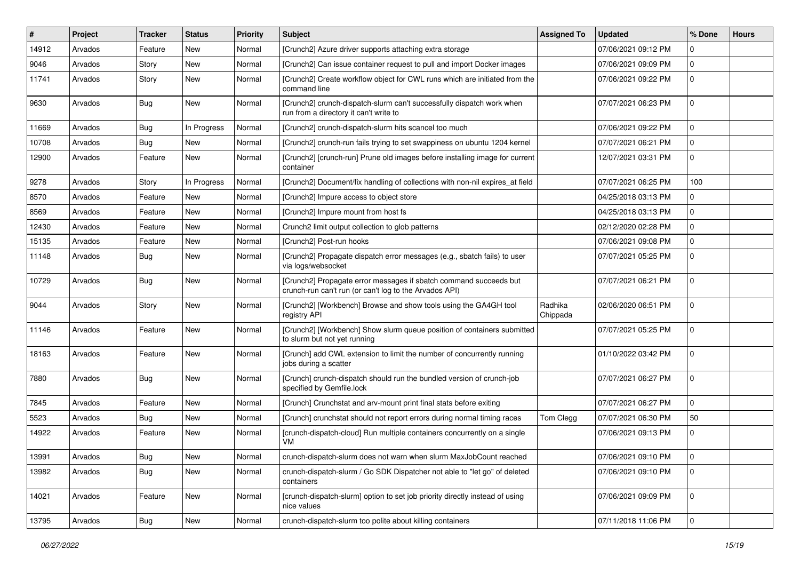| $\vert$ # | Project | <b>Tracker</b> | <b>Status</b> | <b>Priority</b> | <b>Subject</b>                                                                                                              | <b>Assigned To</b>  | <b>Updated</b>      | % Done         | <b>Hours</b> |
|-----------|---------|----------------|---------------|-----------------|-----------------------------------------------------------------------------------------------------------------------------|---------------------|---------------------|----------------|--------------|
| 14912     | Arvados | Feature        | New           | Normal          | [Crunch2] Azure driver supports attaching extra storage                                                                     |                     | 07/06/2021 09:12 PM | $\Omega$       |              |
| 9046      | Arvados | Story          | <b>New</b>    | Normal          | [Crunch2] Can issue container request to pull and import Docker images                                                      |                     | 07/06/2021 09:09 PM | $\mathbf 0$    |              |
| 11741     | Arvados | Story          | <b>New</b>    | Normal          | [Crunch2] Create workflow object for CWL runs which are initiated from the<br>command line                                  |                     | 07/06/2021 09:22 PM | $\mathbf 0$    |              |
| 9630      | Arvados | <b>Bug</b>     | <b>New</b>    | Normal          | [Crunch2] crunch-dispatch-slurm can't successfully dispatch work when<br>run from a directory it can't write to             |                     | 07/07/2021 06:23 PM | $\mathbf 0$    |              |
| 11669     | Arvados | Bug            | In Progress   | Normal          | [Crunch2] crunch-dispatch-slurm hits scancel too much                                                                       |                     | 07/06/2021 09:22 PM | $\mathbf 0$    |              |
| 10708     | Arvados | Bug            | <b>New</b>    | Normal          | [Crunch2] crunch-run fails trying to set swappiness on ubuntu 1204 kernel                                                   |                     | 07/07/2021 06:21 PM | $\mathbf 0$    |              |
| 12900     | Arvados | Feature        | New           | Normal          | [Crunch2] [crunch-run] Prune old images before installing image for current<br>container                                    |                     | 12/07/2021 03:31 PM | $\Omega$       |              |
| 9278      | Arvados | Story          | In Progress   | Normal          | [Crunch2] Document/fix handling of collections with non-nil expires_at field                                                |                     | 07/07/2021 06:25 PM | 100            |              |
| 8570      | Arvados | Feature        | New           | Normal          | [Crunch2] Impure access to object store                                                                                     |                     | 04/25/2018 03:13 PM | $\mathbf 0$    |              |
| 8569      | Arvados | Feature        | <b>New</b>    | Normal          | [Crunch2] Impure mount from host fs                                                                                         |                     | 04/25/2018 03:13 PM | $\mathbf{0}$   |              |
| 12430     | Arvados | Feature        | New           | Normal          | Crunch2 limit output collection to glob patterns                                                                            |                     | 02/12/2020 02:28 PM | $\Omega$       |              |
| 15135     | Arvados | Feature        | New           | Normal          | [Crunch2] Post-run hooks                                                                                                    |                     | 07/06/2021 09:08 PM | $\mathbf 0$    |              |
| 11148     | Arvados | Bug            | New           | Normal          | [Crunch2] Propagate dispatch error messages (e.g., sbatch fails) to user<br>via logs/websocket                              |                     | 07/07/2021 05:25 PM | $\mathbf{0}$   |              |
| 10729     | Arvados | <b>Bug</b>     | <b>New</b>    | Normal          | [Crunch2] Propagate error messages if sbatch command succeeds but<br>crunch-run can't run (or can't log to the Arvados API) |                     | 07/07/2021 06:21 PM | $\mathbf 0$    |              |
| 9044      | Arvados | Story          | New           | Normal          | [Crunch2] [Workbench] Browse and show tools using the GA4GH tool<br>registry API                                            | Radhika<br>Chippada | 02/06/2020 06:51 PM | $\Omega$       |              |
| 11146     | Arvados | Feature        | <b>New</b>    | Normal          | [Crunch2] [Workbench] Show slurm queue position of containers submitted<br>to slurm but not yet running                     |                     | 07/07/2021 05:25 PM | $\mathbf 0$    |              |
| 18163     | Arvados | Feature        | <b>New</b>    | Normal          | [Crunch] add CWL extension to limit the number of concurrently running<br>jobs during a scatter                             |                     | 01/10/2022 03:42 PM | $\mathbf 0$    |              |
| 7880      | Arvados | Bug            | New           | Normal          | [Crunch] crunch-dispatch should run the bundled version of crunch-job<br>specified by Gemfile.lock                          |                     | 07/07/2021 06:27 PM | $\mathbf 0$    |              |
| 7845      | Arvados | Feature        | <b>New</b>    | Normal          | [Crunch] Crunchstat and arv-mount print final stats before exiting                                                          |                     | 07/07/2021 06:27 PM | $\Omega$       |              |
| 5523      | Arvados | Bug            | <b>New</b>    | Normal          | [Crunch] crunchstat should not report errors during normal timing races                                                     | Tom Clegg           | 07/07/2021 06:30 PM | 50             |              |
| 14922     | Arvados | Feature        | New           | Normal          | [crunch-dispatch-cloud] Run multiple containers concurrently on a single<br>VM                                              |                     | 07/06/2021 09:13 PM | $\mathbf{0}$   |              |
| 13991     | Arvados | Bug            | New           | Normal          | crunch-dispatch-slurm does not warn when slurm MaxJobCount reached                                                          |                     | 07/06/2021 09:10 PM | l 0            |              |
| 13982     | Arvados | <b>Bug</b>     | New           | Normal          | crunch-dispatch-slurm / Go SDK Dispatcher not able to "let go" of deleted<br>containers                                     |                     | 07/06/2021 09:10 PM | $\mathbf 0$    |              |
| 14021     | Arvados | Feature        | New           | Normal          | [crunch-dispatch-slurm] option to set job priority directly instead of using<br>nice values                                 |                     | 07/06/2021 09:09 PM | $\mathbf 0$    |              |
| 13795     | Arvados | <b>Bug</b>     | New           | Normal          | crunch-dispatch-slurm too polite about killing containers                                                                   |                     | 07/11/2018 11:06 PM | $\overline{0}$ |              |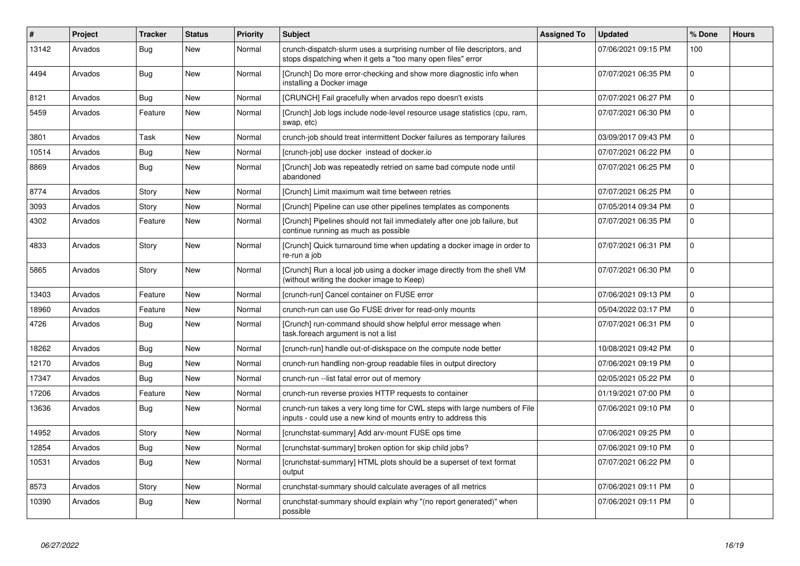| $\#$  | Project | <b>Tracker</b> | <b>Status</b> | <b>Priority</b> | <b>Subject</b>                                                                                                                              | <b>Assigned To</b> | <b>Updated</b>      | % Done       | <b>Hours</b> |
|-------|---------|----------------|---------------|-----------------|---------------------------------------------------------------------------------------------------------------------------------------------|--------------------|---------------------|--------------|--------------|
| 13142 | Arvados | Bug            | <b>New</b>    | Normal          | crunch-dispatch-slurm uses a surprising number of file descriptors, and<br>stops dispatching when it gets a "too many open files" error     |                    | 07/06/2021 09:15 PM | 100          |              |
| 4494  | Arvados | Bug            | New           | Normal          | [Crunch] Do more error-checking and show more diagnostic info when<br>installing a Docker image                                             |                    | 07/07/2021 06:35 PM | $\mathbf 0$  |              |
| 8121  | Arvados | Bug            | <b>New</b>    | Normal          | [CRUNCH] Fail gracefully when arvados repo doesn't exists                                                                                   |                    | 07/07/2021 06:27 PM | $\mathbf{0}$ |              |
| 5459  | Arvados | Feature        | <b>New</b>    | Normal          | [Crunch] Job logs include node-level resource usage statistics (cpu, ram,<br>swap, etc)                                                     |                    | 07/07/2021 06:30 PM | $\Omega$     |              |
| 3801  | Arvados | Task           | <b>New</b>    | Normal          | crunch-job should treat intermittent Docker failures as temporary failures                                                                  |                    | 03/09/2017 09:43 PM | $\mathbf 0$  |              |
| 10514 | Arvados | Bug            | <b>New</b>    | Normal          | [crunch-job] use docker instead of docker.io                                                                                                |                    | 07/07/2021 06:22 PM | $\mathbf 0$  |              |
| 8869  | Arvados | <b>Bug</b>     | <b>New</b>    | Normal          | [Crunch] Job was repeatedly retried on same bad compute node until<br>abandoned                                                             |                    | 07/07/2021 06:25 PM | $\mathbf 0$  |              |
| 8774  | Arvados | Story          | <b>New</b>    | Normal          | [Crunch] Limit maximum wait time between retries                                                                                            |                    | 07/07/2021 06:25 PM | $\mathbf 0$  |              |
| 3093  | Arvados | Story          | <b>New</b>    | Normal          | [Crunch] Pipeline can use other pipelines templates as components                                                                           |                    | 07/05/2014 09:34 PM | 0            |              |
| 4302  | Arvados | Feature        | <b>New</b>    | Normal          | [Crunch] Pipelines should not fail immediately after one job failure, but<br>continue running as much as possible                           |                    | 07/07/2021 06:35 PM | $\Omega$     |              |
| 4833  | Arvados | Story          | <b>New</b>    | Normal          | [Crunch] Quick turnaround time when updating a docker image in order to<br>re-run a job                                                     |                    | 07/07/2021 06:31 PM | $\Omega$     |              |
| 5865  | Arvados | Story          | <b>New</b>    | Normal          | [Crunch] Run a local job using a docker image directly from the shell VM<br>(without writing the docker image to Keep)                      |                    | 07/07/2021 06:30 PM | $\mathbf 0$  |              |
| 13403 | Arvados | Feature        | <b>New</b>    | Normal          | [crunch-run] Cancel container on FUSE error                                                                                                 |                    | 07/06/2021 09:13 PM | $\Omega$     |              |
| 18960 | Arvados | Feature        | <b>New</b>    | Normal          | crunch-run can use Go FUSE driver for read-only mounts                                                                                      |                    | 05/04/2022 03:17 PM | 0            |              |
| 4726  | Arvados | Bug            | New           | Normal          | [Crunch] run-command should show helpful error message when<br>task.foreach argument is not a list                                          |                    | 07/07/2021 06:31 PM | $\mathbf 0$  |              |
| 18262 | Arvados | <b>Bug</b>     | <b>New</b>    | Normal          | [crunch-run] handle out-of-diskspace on the compute node better                                                                             |                    | 10/08/2021 09:42 PM | $\mathbf 0$  |              |
| 12170 | Arvados | Bug            | <b>New</b>    | Normal          | crunch-run handling non-group readable files in output directory                                                                            |                    | 07/06/2021 09:19 PM | $\mathbf 0$  |              |
| 17347 | Arvados | Bug            | <b>New</b>    | Normal          | crunch-run -- list fatal error out of memory                                                                                                |                    | 02/05/2021 05:22 PM | 0            |              |
| 17206 | Arvados | Feature        | <b>New</b>    | Normal          | crunch-run reverse proxies HTTP requests to container                                                                                       |                    | 01/19/2021 07:00 PM | $\mathbf{0}$ |              |
| 13636 | Arvados | Bug            | <b>New</b>    | Normal          | crunch-run takes a very long time for CWL steps with large numbers of File<br>inputs - could use a new kind of mounts entry to address this |                    | 07/06/2021 09:10 PM | $\mathbf 0$  |              |
| 14952 | Arvados | Story          | <b>New</b>    | Normal          | [crunchstat-summary] Add arv-mount FUSE ops time                                                                                            |                    | 07/06/2021 09:25 PM | $\Omega$     |              |
| 12854 | Arvados | Bug            | <b>New</b>    | Normal          | [crunchstat-summary] broken option for skip child jobs?                                                                                     |                    | 07/06/2021 09:10 PM | $\pmb{0}$    |              |
| 10531 | Arvados | <b>Bug</b>     | <b>New</b>    | Normal          | [crunchstat-summary] HTML plots should be a superset of text format<br>output                                                               |                    | 07/07/2021 06:22 PM | $\mathbf 0$  |              |
| 8573  | Arvados | Story          | <b>New</b>    | Normal          | crunchstat-summary should calculate averages of all metrics                                                                                 |                    | 07/06/2021 09:11 PM | $\mathbf 0$  |              |
| 10390 | Arvados | Bug            | <b>New</b>    | Normal          | crunchstat-summary should explain why "(no report generated)" when<br>possible                                                              |                    | 07/06/2021 09:11 PM | $\mathbf 0$  |              |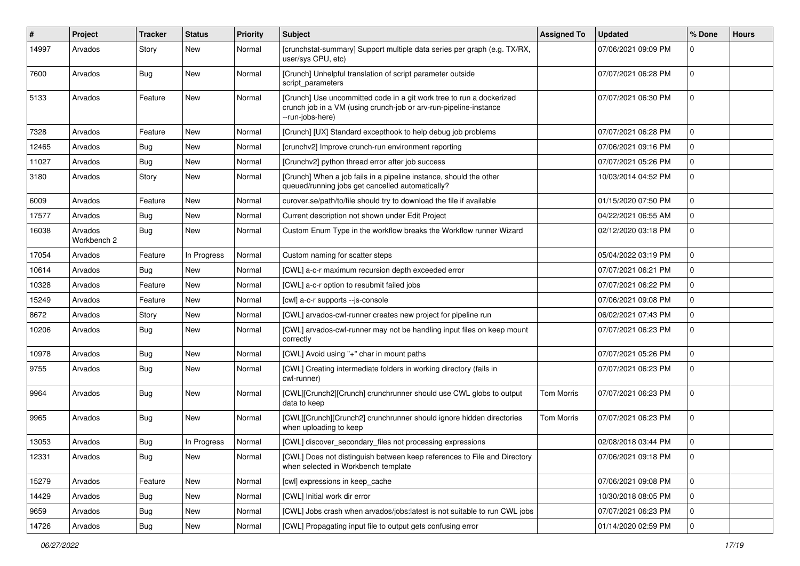| #     | Project                | <b>Tracker</b> | <b>Status</b> | <b>Priority</b> | <b>Subject</b>                                                                                                                                                | <b>Assigned To</b> | <b>Updated</b>      | % Done      | <b>Hours</b> |
|-------|------------------------|----------------|---------------|-----------------|---------------------------------------------------------------------------------------------------------------------------------------------------------------|--------------------|---------------------|-------------|--------------|
| 14997 | Arvados                | Story          | New           | Normal          | [crunchstat-summary] Support multiple data series per graph (e.g. TX/RX,<br>user/sys CPU, etc)                                                                |                    | 07/06/2021 09:09 PM | $\Omega$    |              |
| 7600  | Arvados                | Bug            | New           | Normal          | [Crunch] Unhelpful translation of script parameter outside<br>script_parameters                                                                               |                    | 07/07/2021 06:28 PM | 0           |              |
| 5133  | Arvados                | Feature        | New           | Normal          | [Crunch] Use uncommitted code in a git work tree to run a dockerized<br>crunch job in a VM (using crunch-job or arv-run-pipeline-instance<br>--run-jobs-here) |                    | 07/07/2021 06:30 PM | 0           |              |
| 7328  | Arvados                | Feature        | New           | Normal          | [Crunch] [UX] Standard excepthook to help debug job problems                                                                                                  |                    | 07/07/2021 06:28 PM | 0           |              |
| 12465 | Arvados                | Bug            | New           | Normal          | [crunchv2] Improve crunch-run environment reporting                                                                                                           |                    | 07/06/2021 09:16 PM | $\mathbf 0$ |              |
| 11027 | Arvados                | Bug            | New           | Normal          | [Crunchv2] python thread error after job success                                                                                                              |                    | 07/07/2021 05:26 PM | 0           |              |
| 3180  | Arvados                | Story          | New           | Normal          | [Crunch] When a job fails in a pipeline instance, should the other<br>queued/running jobs get cancelled automatically?                                        |                    | 10/03/2014 04:52 PM | 0           |              |
| 6009  | Arvados                | Feature        | <b>New</b>    | Normal          | curover.se/path/to/file should try to download the file if available                                                                                          |                    | 01/15/2020 07:50 PM | 0           |              |
| 17577 | Arvados                | <b>Bug</b>     | New           | Normal          | Current description not shown under Edit Project                                                                                                              |                    | 04/22/2021 06:55 AM | 0           |              |
| 16038 | Arvados<br>Workbench 2 | Bug            | New           | Normal          | Custom Enum Type in the workflow breaks the Workflow runner Wizard                                                                                            |                    | 02/12/2020 03:18 PM | 0           |              |
| 17054 | Arvados                | Feature        | In Progress   | Normal          | Custom naming for scatter steps                                                                                                                               |                    | 05/04/2022 03:19 PM | $\mathbf 0$ |              |
| 10614 | Arvados                | Bug            | New           | Normal          | [CWL] a-c-r maximum recursion depth exceeded error                                                                                                            |                    | 07/07/2021 06:21 PM | 0           |              |
| 10328 | Arvados                | Feature        | New           | Normal          | [CWL] a-c-r option to resubmit failed jobs                                                                                                                    |                    | 07/07/2021 06:22 PM | $\mathbf 0$ |              |
| 15249 | Arvados                | Feature        | New           | Normal          | [cwl] a-c-r supports --js-console                                                                                                                             |                    | 07/06/2021 09:08 PM | 0           |              |
| 8672  | Arvados                | Story          | New           | Normal          | [CWL] arvados-cwl-runner creates new project for pipeline run                                                                                                 |                    | 06/02/2021 07:43 PM | 0           |              |
| 10206 | Arvados                | Bug            | New           | Normal          | [CWL] arvados-cwl-runner may not be handling input files on keep mount<br>correctly                                                                           |                    | 07/07/2021 06:23 PM | $\mathbf 0$ |              |
| 10978 | Arvados                | <b>Bug</b>     | New           | Normal          | [CWL] Avoid using "+" char in mount paths                                                                                                                     |                    | 07/07/2021 05:26 PM | 0           |              |
| 9755  | Arvados                | Bug            | New           | Normal          | [CWL] Creating intermediate folders in working directory (fails in<br>cwl-runner)                                                                             |                    | 07/07/2021 06:23 PM | $\mathbf 0$ |              |
| 9964  | Arvados                | Bug            | <b>New</b>    | Normal          | [CWL][Crunch2][Crunch] crunchrunner should use CWL globs to output<br>data to keep                                                                            | Tom Morris         | 07/07/2021 06:23 PM | 0           |              |
| 9965  | Arvados                | Bug            | New           | Normal          | [CWL][Crunch][Crunch2] crunchrunner should ignore hidden directories<br>when uploading to keep                                                                | <b>Tom Morris</b>  | 07/07/2021 06:23 PM | $\mathbf 0$ |              |
| 13053 | Arvados                | Bug            | In Progress   | Normal          | [CWL] discover_secondary_files not processing expressions                                                                                                     |                    | 02/08/2018 03:44 PM | $\mathbf 0$ |              |
| 12331 | Arvados                | <b>Bug</b>     | New           | Normal          | [CWL] Does not distinguish between keep references to File and Directory<br>when selected in Workbench template                                               |                    | 07/06/2021 09:18 PM | 0           |              |
| 15279 | Arvados                | Feature        | New           | Normal          | [cwl] expressions in keep_cache                                                                                                                               |                    | 07/06/2021 09:08 PM | $\pmb{0}$   |              |
| 14429 | Arvados                | Bug            | New           | Normal          | [CWL] Initial work dir error                                                                                                                                  |                    | 10/30/2018 08:05 PM | 0           |              |
| 9659  | Arvados                | <b>Bug</b>     | New           | Normal          | [CWL] Jobs crash when arvados/jobs:latest is not suitable to run CWL jobs                                                                                     |                    | 07/07/2021 06:23 PM | 0           |              |
| 14726 | Arvados                | Bug            | New           | Normal          | [CWL] Propagating input file to output gets confusing error                                                                                                   |                    | 01/14/2020 02:59 PM | $\mathbf 0$ |              |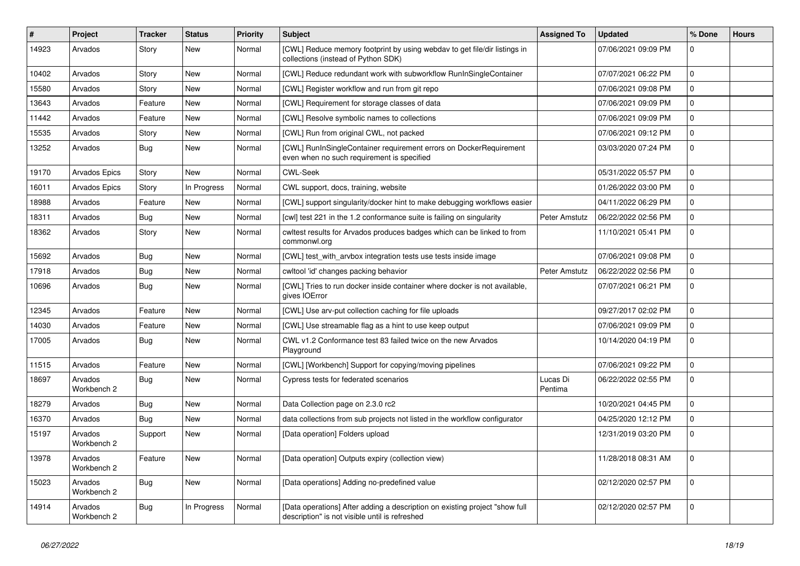| #     | Project                | <b>Tracker</b> | <b>Status</b> | <b>Priority</b> | <b>Subject</b>                                                                                                                | <b>Assigned To</b>  | <b>Updated</b>      | % Done       | <b>Hours</b> |
|-------|------------------------|----------------|---------------|-----------------|-------------------------------------------------------------------------------------------------------------------------------|---------------------|---------------------|--------------|--------------|
| 14923 | Arvados                | Story          | New           | Normal          | [CWL] Reduce memory footprint by using webday to get file/dir listings in<br>collections (instead of Python SDK)              |                     | 07/06/2021 09:09 PM | $\mathbf 0$  |              |
| 10402 | Arvados                | Story          | <b>New</b>    | Normal          | [CWL] Reduce redundant work with subworkflow RunInSingleContainer                                                             |                     | 07/07/2021 06:22 PM | $\mathbf 0$  |              |
| 15580 | Arvados                | Story          | <b>New</b>    | Normal          | [CWL] Register workflow and run from git repo                                                                                 |                     | 07/06/2021 09:08 PM | $\mathbf 0$  |              |
| 13643 | Arvados                | Feature        | New           | Normal          | [CWL] Requirement for storage classes of data                                                                                 |                     | 07/06/2021 09:09 PM | $\pmb{0}$    |              |
| 11442 | Arvados                | Feature        | <b>New</b>    | Normal          | [CWL] Resolve symbolic names to collections                                                                                   |                     | 07/06/2021 09:09 PM | $\mathbf 0$  |              |
| 15535 | Arvados                | Story          | New           | Normal          | [CWL] Run from original CWL, not packed                                                                                       |                     | 07/06/2021 09:12 PM | $\mathbf{0}$ |              |
| 13252 | Arvados                | Bug            | <b>New</b>    | Normal          | [CWL] RunInSingleContainer requirement errors on DockerRequirement<br>even when no such requirement is specified              |                     | 03/03/2020 07:24 PM | $\mathbf{0}$ |              |
| 19170 | <b>Arvados Epics</b>   | Story          | <b>New</b>    | Normal          | <b>CWL-Seek</b>                                                                                                               |                     | 05/31/2022 05:57 PM | $\mathbf{0}$ |              |
| 16011 | Arvados Epics          | Story          | In Progress   | Normal          | CWL support, docs, training, website                                                                                          |                     | 01/26/2022 03:00 PM | $\mathbf 0$  |              |
| 18988 | Arvados                | Feature        | <b>New</b>    | Normal          | [CWL] support singularity/docker hint to make debugging workflows easier                                                      |                     | 04/11/2022 06:29 PM | $\mathbf 0$  |              |
| 18311 | Arvados                | Bug            | <b>New</b>    | Normal          | [cwl] test 221 in the 1.2 conformance suite is failing on singularity                                                         | Peter Amstutz       | 06/22/2022 02:56 PM | $\mathbf 0$  |              |
| 18362 | Arvados                | Story          | New           | Normal          | cwltest results for Arvados produces badges which can be linked to from<br>commonwl.org                                       |                     | 11/10/2021 05:41 PM | $\mathbf 0$  |              |
| 15692 | Arvados                | Bug            | <b>New</b>    | Normal          | [CWL] test with arvbox integration tests use tests inside image                                                               |                     | 07/06/2021 09:08 PM | $\pmb{0}$    |              |
| 17918 | Arvados                | Bug            | New           | Normal          | cwltool 'id' changes packing behavior                                                                                         | Peter Amstutz       | 06/22/2022 02:56 PM | $\mathbf 0$  |              |
| 10696 | Arvados                | Bug            | New           | Normal          | [CWL] Tries to run docker inside container where docker is not available,<br>gives IOError                                    |                     | 07/07/2021 06:21 PM | $\mathbf 0$  |              |
| 12345 | Arvados                | Feature        | <b>New</b>    | Normal          | [CWL] Use arv-put collection caching for file uploads                                                                         |                     | 09/27/2017 02:02 PM | $\pmb{0}$    |              |
| 14030 | Arvados                | Feature        | New           | Normal          | [CWL] Use streamable flag as a hint to use keep output                                                                        |                     | 07/06/2021 09:09 PM | $\mathbf 0$  |              |
| 17005 | Arvados                | Bug            | <b>New</b>    | Normal          | CWL v1.2 Conformance test 83 failed twice on the new Arvados<br>Playground                                                    |                     | 10/14/2020 04:19 PM | $\mathbf{0}$ |              |
| 11515 | Arvados                | Feature        | <b>New</b>    | Normal          | [CWL] [Workbench] Support for copying/moving pipelines                                                                        |                     | 07/06/2021 09:22 PM | $\Omega$     |              |
| 18697 | Arvados<br>Workbench 2 | Bug            | <b>New</b>    | Normal          | Cypress tests for federated scenarios                                                                                         | Lucas Di<br>Pentima | 06/22/2022 02:55 PM | $\mathbf{0}$ |              |
| 18279 | Arvados                | Bug            | <b>New</b>    | Normal          | Data Collection page on 2.3.0 rc2                                                                                             |                     | 10/20/2021 04:45 PM | $\mathbf 0$  |              |
| 16370 | Arvados                | Bug            | New           | Normal          | data collections from sub projects not listed in the workflow configurator                                                    |                     | 04/25/2020 12:12 PM | $\mathbf 0$  |              |
| 15197 | Arvados<br>Workbench 2 | Support        | <b>New</b>    | Normal          | [Data operation] Folders upload                                                                                               |                     | 12/31/2019 03:20 PM | $\mathbf 0$  |              |
| 13978 | Arvados<br>Workbench 2 | Feature        | New           | Normal          | [Data operation] Outputs expiry (collection view)                                                                             |                     | 11/28/2018 08:31 AM | $\Omega$     |              |
| 15023 | Arvados<br>Workbench 2 | Bug            | <b>New</b>    | Normal          | [Data operations] Adding no-predefined value                                                                                  |                     | 02/12/2020 02:57 PM | $\mathbf 0$  |              |
| 14914 | Arvados<br>Workbench 2 | Bug            | In Progress   | Normal          | [Data operations] After adding a description on existing project "show full<br>description" is not visible until is refreshed |                     | 02/12/2020 02:57 PM | $\mathbf 0$  |              |